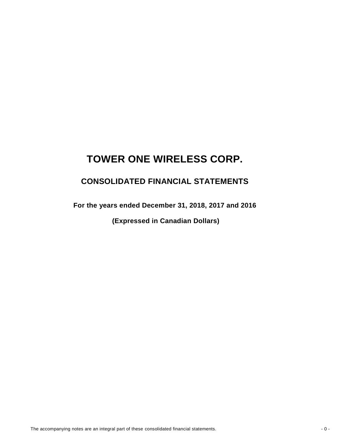## **CONSOLIDATED FINANCIAL STATEMENTS**

**For the years ended December 31, 2018, 2017 and 2016** 

 **(Expressed in Canadian Dollars)**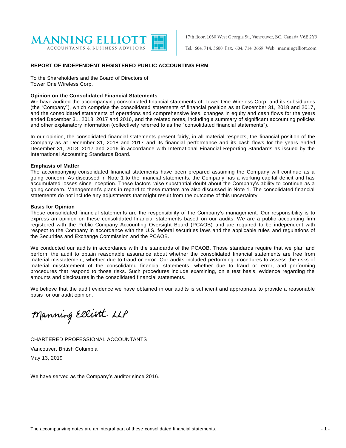

17th floor, 1030 West Georgia St., Vancouver, BC, Canada V6E 2Y3

Tel: 604. 714. 3600 Fax: 604. 714. 3669 Web: manningelliott.com

#### **REPORT OF INDEPENDENT REGISTERED PUBLIC ACCOUNTING FIRM**

To the Shareholders and the Board of Directors of Tower One Wireless Corp.

#### **Opinion on the Consolidated Financial Statements**

We have audited the accompanying consolidated financial statements of Tower One Wireless Corp. and its subsidiaries (the "Company"), which comprise the consolidated statements of financial position as at December 31, 2018 and 2017, and the consolidated statements of operations and comprehensive loss, changes in equity and cash flows for the years ended December 31, 2018, 2017 and 2016, and the related notes, including a summary of significant accounting policies and other explanatory information (collectively referred to as the "consolidated financial statements").

In our opinion, the consolidated financial statements present fairly, in all material respects, the financial position of the Company as at December 31, 2018 and 2017 and its financial performance and its cash flows for the years ended December 31, 2018, 2017 and 2016 in accordance with International Financial Reporting Standards as issued by the International Accounting Standards Board.

#### **Emphasis of Matter**

The accompanying consolidated financial statements have been prepared assuming the Company will continue as a going concern. As discussed in Note 1 to the financial statements, the Company has a working capital deficit and has accumulated losses since inception. These factors raise substantial doubt about the Company's ability to continue as a going concern. Management's plans in regard to these matters are also discussed in Note 1. The consolidated financial statements do not include any adjustments that might result from the outcome of this uncertainty.

#### **Basis for Opinion**

These consolidated financial statements are the responsibility of the Company's management. Our responsibility is to express an opinion on these consolidated financial statements based on our audits. We are a public accounting firm registered with the Public Company Accounting Oversight Board (PCAOB) and are required to be independent with respect to the Company in accordance with the U.S. federal securities laws and the applicable rules and regulations of the Securities and Exchange Commission and the PCAOB.

We conducted our audits in accordance with the standards of the PCAOB. Those standards require that we plan and perform the audit to obtain reasonable assurance about whether the consolidated financial statements are free from material misstatement, whether due to fraud or error. Our audits included performing procedures to assess the risks of material misstatement of the consolidated financial statements, whether due to fraud or error, and performing procedures that respond to those risks. Such procedures include examining, on a test basis, evidence regarding the amounts and disclosures in the consolidated financial statements.

We believe that the audit evidence we have obtained in our audits is sufficient and appropriate to provide a reasonable basis for our audit opinion.

Manning Elliott LLP

CHARTERED PROFESSIONAL ACCOUNTANTS Vancouver, British Columbia May 13, 2019

We have served as the Company's auditor since 2016.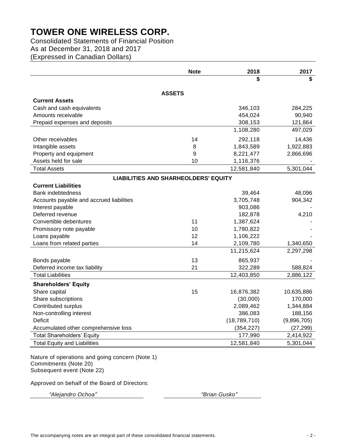Consolidated Statements of Financial Position As at December 31, 2018 and 2017 (Expressed in Canadian Dollars)

|                                             | <b>Note</b> | 2018           | 2017        |  |  |  |  |  |
|---------------------------------------------|-------------|----------------|-------------|--|--|--|--|--|
|                                             |             | \$             | \$          |  |  |  |  |  |
|                                             |             |                |             |  |  |  |  |  |
| <b>ASSETS</b><br><b>Current Assets</b>      |             |                |             |  |  |  |  |  |
| Cash and cash equivalents                   |             | 346,103        | 284,225     |  |  |  |  |  |
| Amounts receivable                          |             | 454,024        | 90,940      |  |  |  |  |  |
| Prepaid expenses and deposits               |             | 308,153        | 121,864     |  |  |  |  |  |
|                                             |             | 1,108,280      | 497,029     |  |  |  |  |  |
| Other receivables                           | 14          | 292,118        | 14,436      |  |  |  |  |  |
| Intangible assets                           | 8           | 1,843,589      | 1,922,883   |  |  |  |  |  |
| Property and equipment                      | 9           | 8,221,477      | 2,866,696   |  |  |  |  |  |
| Assets held for sale                        | 10          | 1,116,376      |             |  |  |  |  |  |
| <b>Total Assets</b>                         |             | 12,581,840     | 5,301,044   |  |  |  |  |  |
| <b>LIABILITIES AND SHARHEOLDERS' EQUITY</b> |             |                |             |  |  |  |  |  |
| <b>Current Liabilities</b>                  |             |                |             |  |  |  |  |  |
| <b>Bank indebtedness</b>                    |             | 39,464         | 48,096      |  |  |  |  |  |
| Accounts payable and accrued liabilities    |             | 3,705,748      | 904,342     |  |  |  |  |  |
| Interest payable                            |             | 903,086        |             |  |  |  |  |  |
| Deferred revenue                            |             | 182,878        | 4,210       |  |  |  |  |  |
| Convertible debentures                      | 11          | 1,387,624      |             |  |  |  |  |  |
| Promissory note payable                     | 10          | 1,780,822      |             |  |  |  |  |  |
| Loans payable                               | 12          | 1,106,222      |             |  |  |  |  |  |
| Loans from related parties                  | 14          | 2,109,780      | 1,340,650   |  |  |  |  |  |
|                                             |             | 11,215,624     | 2,297,298   |  |  |  |  |  |
| Bonds payable                               | 13          | 865,937        |             |  |  |  |  |  |
| Deferred income tax liability               | 21          | 322,289        | 588,824     |  |  |  |  |  |
| <b>Total Liabilities</b>                    |             | 12,403,850     | 2,886,122   |  |  |  |  |  |
| <b>Shareholders' Equity</b>                 |             |                |             |  |  |  |  |  |
| Share capital                               | 15          | 16,876,382     | 10,635,886  |  |  |  |  |  |
| Share subscriptions                         |             | (30,000)       | 170,000     |  |  |  |  |  |
| Contributed surplus                         |             | 2,089,462      | 1,344,884   |  |  |  |  |  |
| Non-controlling interest                    |             | 386,083        | 188,156     |  |  |  |  |  |
| Deficit                                     |             | (18, 789, 710) | (9,896,705) |  |  |  |  |  |
| Accumulated other comprehensive loss        |             | (354, 227)     | (27, 299)   |  |  |  |  |  |
| <b>Total Shareholders' Equity</b>           |             | 177,990        | 2,414,922   |  |  |  |  |  |
| <b>Total Equity and Liabilities</b>         |             | 12,581,840     | 5,301,044   |  |  |  |  |  |

Nature of operations and going concern (Note 1) Commitments (Note 20) Subsequent event (Note 22)

Approved on behalf of the Board of Directors:

*"Alejandro Ochoa" "Brian Gusko"*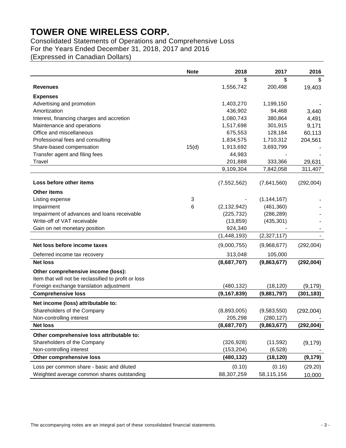## Consolidated Statements of Operations and Comprehensive Loss For the Years Ended December 31, 2018, 2017 and 2016

(Expressed in Canadian Dollars)

|                                                      | <b>Note</b> | 2018          | 2017          | 2016       |
|------------------------------------------------------|-------------|---------------|---------------|------------|
|                                                      |             | \$            | \$            | \$         |
| <b>Revenues</b>                                      |             | 1,556,742     | 200,498       | 19,403     |
| <b>Expenses</b>                                      |             |               |               |            |
| Advertising and promotion                            |             | 1,403,270     | 1,199,150     |            |
| Amortization                                         |             | 436,902       | 94,468        | 3,440      |
| Interest, financing charges and accretion            |             | 1,080,743     | 380,864       | 4,491      |
| Maintenance and operations                           |             | 1,517,698     | 301,915       | 9,171      |
| Office and miscellaneous                             |             | 675,553       | 128,184       | 60,113     |
| Professional fees and consulting                     |             | 1,834,575     | 1,710,312     | 204,561    |
| Share-based compensation                             | 15(d)       | 1,913,692     | 3,693,799     |            |
| Transfer agent and filing fees                       |             | 44,983        |               |            |
| <b>Travel</b>                                        |             | 201,888       | 333,366       | 29,631     |
|                                                      |             | 9,109,304     | 7,842,058     | 311,407    |
|                                                      |             |               |               |            |
| Loss before other items                              |             | (7, 552, 562) | (7,641,560)   | (292,004)  |
| <b>Other items</b>                                   |             |               |               |            |
| Listing expense                                      | 3           |               | (1, 144, 167) |            |
| Impairment                                           | 6           | (2, 132, 942) | (461, 360)    |            |
| Impairment of advances and loans receivable          |             | (225, 732)    | (286, 289)    |            |
| Write-off of VAT receivable                          |             | (13, 859)     | (435, 301)    |            |
| Gain on net monetary position                        |             | 924,340       |               |            |
|                                                      |             | (1, 448, 193) | (2,327,117)   |            |
| Net loss before income taxes                         |             | (9,000,755)   | (9,968,677)   | (292,004)  |
| Deferred income tax recovery                         |             | 313,048       | 105,000       |            |
| <b>Net loss</b>                                      |             | (8,687,707)   | (9,863,677)   | (292,004)  |
| Other comprehensive income (loss):                   |             |               |               |            |
| Item that will not be reclassified to profit or loss |             |               |               |            |
| Foreign exchange translation adjustment              |             | (480, 132)    | (18, 120)     | (9, 179)   |
| <b>Comprehensive loss</b>                            |             | (9, 167, 839) | (9,881,797)   | (301, 183) |
| Net income (loss) attributable to:                   |             |               |               |            |
| Shareholders of the Company                          |             | (8,893,005)   | (9,583,550)   | (292,004)  |
| Non-controlling interest                             |             | 205,298       | (280, 127)    |            |
| <b>Net loss</b>                                      |             | (8,687,707)   | (9,863,677)   | (292, 004) |
| Other comprehensive loss attributable to:            |             |               |               |            |
| Shareholders of the Company                          |             | (326, 928)    | (11,592)      | (9, 179)   |
| Non-controlling interest                             |             | (153, 204)    | (6, 528)      |            |
| Other comprehensive loss                             |             | (480, 132)    | (18, 120)     | (9, 179)   |
| Loss per common share - basic and diluted            |             | (0.10)        | (0.16)        | (29.20)    |
| Weighted average common shares outstanding           |             | 88,307,259    | 58,115,156    | 10,000     |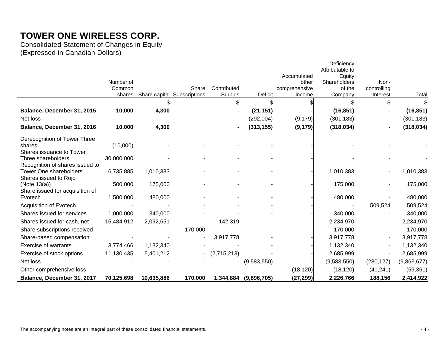Consolidated Statement of Changes in Equity

(Expressed in Canadian Dollars)

|                                                 |                     |            |                             |             |                       |                        | Deficiency<br>Attributable to |                     |             |
|-------------------------------------------------|---------------------|------------|-----------------------------|-------------|-----------------------|------------------------|-------------------------------|---------------------|-------------|
|                                                 |                     |            |                             |             |                       | Accumulated            | Equity                        |                     |             |
|                                                 | Number of<br>Common |            | Share                       | Contributed |                       | other<br>comprehensive | Shareholders<br>of the        | Non-<br>controlling |             |
|                                                 | shares              |            | Share capital Subscriptions | Surplus     | <b>Deficit</b>        | income                 | Company                       | Interest            | Total       |
|                                                 |                     | \$         |                             | \$          | \$                    |                        | \$                            |                     |             |
| Balance, December 31, 2015                      | 10,000              | 4,300      |                             |             | (21, 151)             |                        | (16, 851)                     |                     | (16, 851)   |
| Net loss                                        |                     |            |                             |             | (292,004)             | (9, 179)               | (301, 183)                    |                     | (301, 183)  |
| Balance, December 31, 2016                      | 10,000              | 4,300      |                             |             | (313, 155)            | (9, 179)               | (318, 034)                    |                     | (318, 034)  |
| Derecognition of Tower Three                    |                     |            |                             |             |                       |                        |                               |                     |             |
| shares                                          | (10,000)            |            |                             |             |                       |                        |                               |                     |             |
| Shares issuance to Tower                        |                     |            |                             |             |                       |                        |                               |                     |             |
| Three shareholders                              | 30,000,000          |            |                             |             |                       |                        |                               |                     |             |
| Recognition of shares issued to                 |                     |            |                             |             |                       |                        |                               |                     |             |
| Tower One shareholders<br>Shares issued to Rojo | 6,735,885           | 1,010,383  |                             |             |                       |                        | 1,010,383                     |                     | 1,010,383   |
| (Note $13(a)$ )                                 | 500,000             | 175,000    |                             |             |                       |                        | 175,000                       |                     | 175,000     |
| Share issued for acquisition of                 |                     |            |                             |             |                       |                        |                               |                     |             |
| Evotech                                         | 1,500,000           | 480,000    |                             |             |                       |                        | 480,000                       |                     | 480,000     |
| Acquisition of Evotech                          |                     |            |                             |             |                       |                        |                               | 509,524             | 509,524     |
| Shares issued for services                      | 1,000,000           | 340,000    |                             |             |                       |                        | 340,000                       |                     | 340,000     |
| Shares issued for cash, net                     | 15,484,912          | 2,092,651  |                             | 142,319     |                       |                        | 2,234,970                     |                     | 2,234,970   |
| Share subscriptions received                    |                     |            | 170,000                     |             |                       |                        | 170,000                       |                     | 170,000     |
| Share-based compensation                        |                     |            |                             | 3,917,778   |                       |                        | 3,917,778                     |                     | 3,917,778   |
| <b>Exercise of warrants</b>                     | 3,774,466           | 1,132,340  |                             |             |                       |                        | 1,132,340                     |                     | 1,132,340   |
| Exercise of stock options                       | 11,130,435          | 5,401,212  |                             | (2,715,213) |                       |                        | 2,685,999                     |                     | 2,685,999   |
| Net loss                                        |                     |            |                             |             | (9,583,550)           |                        | (9,583,550)                   | (280, 127)          | (9,863,677) |
| Other comprehensive loss                        |                     |            |                             |             |                       | (18, 120)              | (18, 120)                     | (41, 241)           | (59, 361)   |
| Balance, December 31, 2017                      | 70,125,698          | 10,635,886 | 170,000                     |             | 1,344,884 (9,896,705) | (27, 299)              | 2,226,766                     | 188,156             | 2,414,922   |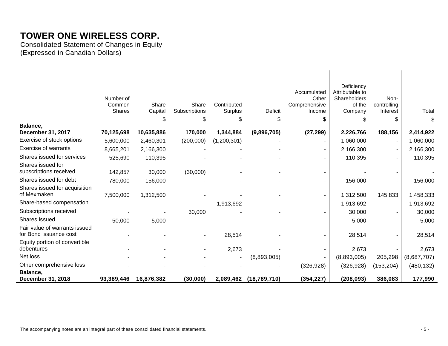Consolidated Statement of Changes in Equity (Expressed in Canadian Dollars)

|                               | Number of<br>Common<br><b>Shares</b> | Share<br>Capital | Share<br>Subscriptions | Contributed<br>Surplus | Deficit      | Accumulated<br>Other<br>Comprehensive<br>Income | Deficiency<br>Attributable to<br>Shareholders<br>of the<br>Company | Non-<br>controlling<br>Interest | Total       |
|-------------------------------|--------------------------------------|------------------|------------------------|------------------------|--------------|-------------------------------------------------|--------------------------------------------------------------------|---------------------------------|-------------|
|                               |                                      | \$               | \$                     | \$                     | \$           | \$                                              | \$                                                                 | \$                              | \$          |
| Balance,                      |                                      |                  |                        |                        |              |                                                 |                                                                    |                                 |             |
| <b>December 31, 2017</b>      | 70,125,698                           | 10,635,886       | 170,000                | 1,344,884              | (9,896,705)  | (27, 299)                                       | 2,226,766                                                          | 188,156                         | 2,414,922   |
| Exercise of stock options     | 5,600,000                            | 2,460,301        | (200,000)              | (1,200,301)            |              |                                                 | 1,060,000                                                          |                                 | 1,060,000   |
| <b>Exercise of warrants</b>   | 8,665,201                            | 2,166,300        |                        |                        |              |                                                 | 2,166,300                                                          |                                 | 2,166,300   |
| Shares issued for services    | 525,690                              | 110,395          |                        |                        |              |                                                 | 110,395                                                            |                                 | 110,395     |
| Shares issued for             |                                      |                  |                        |                        |              |                                                 |                                                                    |                                 |             |
| subscriptions received        | 142,857                              | 30,000           | (30,000)               |                        |              |                                                 |                                                                    |                                 |             |
| Shares issued for debt        | 780,000                              | 156,000          |                        |                        |              |                                                 | 156,000                                                            |                                 | 156,000     |
| Shares issued for acquisition |                                      |                  |                        |                        |              |                                                 |                                                                    |                                 |             |
| of Mexmaken                   | 7,500,000                            | 1,312,500        |                        |                        |              |                                                 | 1,312,500                                                          | 145,833                         | 1,458,333   |
| Share-based compensation      |                                      |                  |                        | 1,913,692              |              |                                                 | 1,913,692                                                          |                                 | 1,913,692   |
| Subscriptions received        |                                      |                  | 30,000                 |                        |              |                                                 | 30,000                                                             |                                 | 30,000      |
| Shares issued                 | 50,000                               | 5,000            |                        |                        |              |                                                 | 5,000                                                              |                                 | 5,000       |
| Fair value of warrants issued |                                      |                  |                        |                        |              |                                                 |                                                                    |                                 |             |
| for Bond issuance cost        |                                      |                  |                        | 28,514                 |              |                                                 | 28,514                                                             |                                 | 28,514      |
| Equity portion of convertible |                                      |                  |                        |                        |              |                                                 |                                                                    |                                 |             |
| debentures                    |                                      |                  |                        | 2,673                  |              |                                                 | 2,673                                                              |                                 | 2,673       |
| Net loss                      |                                      |                  |                        |                        | (8,893,005)  |                                                 | (8,893,005)                                                        | 205,298                         | (8,687,707) |
| Other comprehensive loss      |                                      |                  |                        |                        |              | (326, 928)                                      | (326, 928)                                                         | (153, 204)                      | (480,132)   |
| Balance,                      |                                      |                  |                        |                        |              |                                                 |                                                                    |                                 |             |
| December 31, 2018             | 93,389,446                           | 16,876,382       | (30,000)               | 2,089,462              | (18,789,710) | (354, 227)                                      | (208, 093)                                                         | 386,083                         | 177,990     |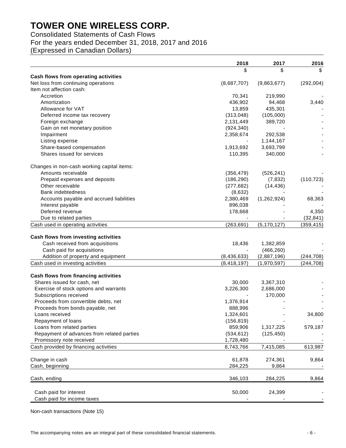Consolidated Statements of Cash Flows

For the years ended December 31, 2018, 2017 and 2016

(Expressed in Canadian Dollars)

|                                            | 2018          | 2017          | 2016       |
|--------------------------------------------|---------------|---------------|------------|
|                                            | \$            | \$            |            |
| Cash flows from operating activities       |               |               |            |
| Net loss from continuing operations        | (8,687,707)   | (9,863,677)   | (292,004)  |
| Item not affection cash:                   |               |               |            |
| Accretion                                  | 70,341        | 219,990       |            |
| Amortization                               | 436,902       | 94,468        | 3,440      |
| Allowance for VAT                          | 13,859        | 435,301       |            |
| Deferred income tax recovery               | (313,048)     | (105,000)     |            |
| Foreign exchange                           | 2,131,449     | 389,720       |            |
| Gain on net monetary position              | (924, 340)    |               |            |
| Impairment                                 | 2,358,674     | 292,538       |            |
| Listing expense                            |               | 1,144,167     |            |
| Share-based compensation                   | 1,913,692     | 3,693,799     |            |
| Shares issued for services                 | 110,395       | 340,000       |            |
| Changes in non-cash working capital items: |               |               |            |
| Amounts receivable                         | (356, 479)    | (526, 241)    |            |
| Prepaid expenses and deposits              | (186, 290)    | (7, 832)      | (110, 723) |
| Other receivable                           | (277, 682)    | (14, 436)     |            |
| <b>Bank indebtedness</b>                   | (8,632)       |               |            |
| Accounts payable and accrued liabilities   | 2,380,469     | (1, 262, 924) | 68,363     |
| Interest payable                           | 896,038       |               |            |
| Deferred revenue                           | 178,668       |               | 4,350      |
| Due to related parties                     |               |               | (32, 841)  |
| Cash used in operating activities          | (263, 691)    | (5, 170, 127) | (359, 415) |
|                                            |               |               |            |
| Cash flows from investing activities       |               |               |            |
| Cash received from acquisitions            | 18,436        | 1,382,859     |            |
| Cash paid for acquisitions                 |               | (466, 260)    |            |
| Addition of property and equipment         | (8, 436, 633) | (2,887,196)   | (244, 708) |
| Cash used in investing activities          | (8, 418, 197) | (1,970,597)   | (244, 708) |
| Cash flows from financing activities       |               |               |            |
| Shares issued for cash, net                | 30,000        | 3,367,310     |            |
| Exercise of stock options and warrants     | 3,226,300     | 2,686,000     |            |
| Subscriptions received                     |               | 170,000       |            |
| Proceeds from convertible debts, net       | 1,376,914     |               |            |
| Proceeds from bonds payable, net           | 888,996       |               |            |
| Loans received                             | 1,324,601     |               | 34,800     |
| Repayment of loans                         | (156, 819)    |               |            |
| Loans from related parties                 | 859,906       | 1,317,225     | 579,187    |
| Repayment of advances from related parties | (534, 612)    | (125, 450)    |            |
| Promissory note received                   | 1,728,480     |               |            |
| Cash provided by financing activities      |               | 7,415,085     | 613,987    |
|                                            | 8,743,766     |               |            |
| Change in cash                             | 61,878        | 274,361       | 9,864      |
| Cash, beginning                            | 284,225       | 9,864         |            |
| Cash, ending                               | 346,103       | 284,225       | 9,864      |
| Cash paid for interest                     | 50,000        | 24,399        |            |
| Cash paid for income taxes                 |               |               |            |
|                                            |               |               |            |

Non-cash transactions (Note 15)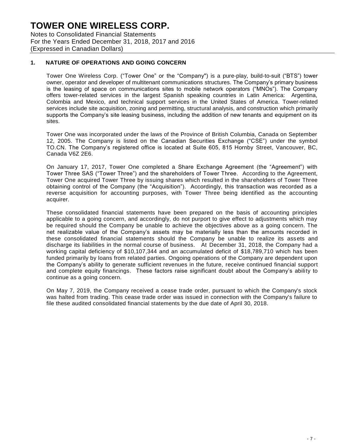Notes to Consolidated Financial Statements For the Years Ended December 31, 2018, 2017 and 2016 (Expressed in Canadian Dollars)

### **1. NATURE OF OPERATIONS AND GOING CONCERN**

Tower One Wireless Corp. ("Tower One" or the "Company") is a pure-play, build-to-suit ("BTS") tower owner, operator and developer of multitenant communications structures. The Company's primary business is the leasing of space on communications sites to mobile network operators ("MNOs"). The Company offers tower-related services in the largest Spanish speaking countries in Latin America: Argentina, Colombia and Mexico, and technical support services in the United States of America. Tower-related services include site acquisition, zoning and permitting, structural analysis, and construction which primarily supports the Company's site leasing business, including the addition of new tenants and equipment on its sites.

Tower One was incorporated under the laws of the Province of British Columbia, Canada on September 12, 2005. The Company is listed on the Canadian Securities Exchange ("CSE") under the symbol TO.CN. The Company's registered office is located at Suite 605, 815 Hornby Street, Vancouver, BC, Canada V6Z 2E6.

On January 17, 2017, Tower One completed a Share Exchange Agreement (the "Agreement") with Tower Three SAS ("Tower Three") and the shareholders of Tower Three. According to the Agreement, Tower One acquired Tower Three by issuing shares which resulted in the shareholders of Tower Three obtaining control of the Company (the "Acquisition"). Accordingly, this transaction was recorded as a reverse acquisition for accounting purposes, with Tower Three being identified as the accounting acquirer.

These consolidated financial statements have been prepared on the basis of accounting principles applicable to a going concern, and accordingly, do not purport to give effect to adjustments which may be required should the Company be unable to achieve the objectives above as a going concern. The net realizable value of the Company's assets may be materially less than the amounts recorded in these consolidated financial statements should the Company be unable to realize its assets and discharge its liabilities in the normal course of business. At December 31, 2018, the Company had a working capital deficiency of \$10,107,344 and an accumulated deficit of \$18,789,710 which has been funded primarily by loans from related parties. Ongoing operations of the Company are dependent upon the Company's ability to generate sufficient revenues in the future, receive continued financial support and complete equity financings. These factors raise significant doubt about the Company's ability to continue as a going concern.

On May 7, 2019, the Company received a cease trade order, pursuant to which the Company's stock was halted from trading. This cease trade order was issued in connection with the Company's failure to file these audited consolidated financial statements by the due date of April 30, 2018.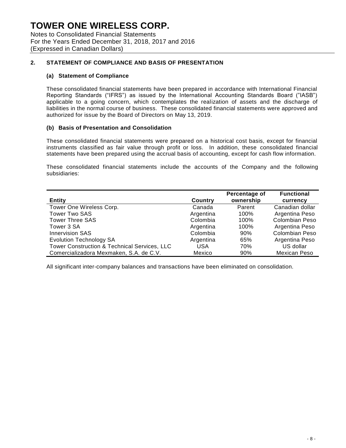Notes to Consolidated Financial Statements For the Years Ended December 31, 2018, 2017 and 2016 (Expressed in Canadian Dollars)

### **2. STATEMENT OF COMPLIANCE AND BASIS OF PRESENTATION**

#### **(a) Statement of Compliance**

These consolidated financial statements have been prepared in accordance with International Financial Reporting Standards ("IFRS") as issued by the International Accounting Standards Board ("IASB") applicable to a going concern, which contemplates the realization of assets and the discharge of liabilities in the normal course of business. These consolidated financial statements were approved and authorized for issue by the Board of Directors on May 13, 2019.

### **(b) Basis of Presentation and Consolidation**

These consolidated financial statements were prepared on a historical cost basis, except for financial instruments classified as fair value through profit or loss. In addition, these consolidated financial statements have been prepared using the accrual basis of accounting, except for cash flow information.

These consolidated financial statements include the accounts of the Company and the following subsidiaries:

| <b>Entity</b>                                | Country    | Percentage of<br>ownership | <b>Functional</b><br>currency |
|----------------------------------------------|------------|----------------------------|-------------------------------|
| Tower One Wireless Corp.                     | Canada     | Parent                     | Canadian dollar               |
| <b>Tower Two SAS</b>                         | Argentina  | 100%                       | Argentina Peso                |
| <b>Tower Three SAS</b>                       | Colombia   | 100%                       | Colombian Peso                |
| Tower 3 SA                                   | Argentina  | 100%                       | Argentina Peso                |
| <b>Innervision SAS</b>                       | Colombia   | 90%                        | <b>Colombian Peso</b>         |
| <b>Evolution Technology SA</b>               | Argentina  | 65%                        | Argentina Peso                |
| Tower Construction & Technical Services, LLC | <b>USA</b> | 70%                        | US dollar                     |
| Comercializadora Mexmaken, S.A. de C.V.      | Mexico     | 90%                        | <b>Mexican Peso</b>           |

All significant inter-company balances and transactions have been eliminated on consolidation.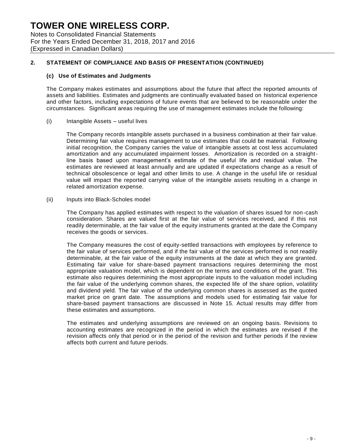Notes to Consolidated Financial Statements For the Years Ended December 31, 2018, 2017 and 2016 (Expressed in Canadian Dollars)

### **2. STATEMENT OF COMPLIANCE AND BASIS OF PRESENTATION (CONTINUED)**

#### **(c) Use of Estimates and Judgments**

The Company makes estimates and assumptions about the future that affect the reported amounts of assets and liabilities. Estimates and judgments are continually evaluated based on historical experience and other factors, including expectations of future events that are believed to be reasonable under the circumstances. Significant areas requiring the use of management estimates include the following:

#### (i) Intangible Assets – useful lives

The Company records intangible assets purchased in a business combination at their fair value. Determining fair value requires management to use estimates that could be material. Following initial recognition, the Company carries the value of intangible assets at cost less accumulated amortization and any accumulated impairment losses. Amortization is recorded on a straightline basis based upon management's estimate of the useful life and residual value. The estimates are reviewed at least annually and are updated if expectations change as a result of technical obsolescence or legal and other limits to use. A change in the useful life or residual value will impact the reported carrying value of the intangible assets resulting in a change in related amortization expense.

#### (ii) Inputs into Black-Scholes model

The Company has applied estimates with respect to the valuation of shares issued for non-cash consideration. Shares are valued first at the fair value of services received, and if this not readily determinable, at the fair value of the equity instruments granted at the date the Company receives the goods or services.

The Company measures the cost of equity-settled transactions with employees by reference to the fair value of services performed, and if the fair value of the services performed is not readily determinable, at the fair value of the equity instruments at the date at which they are granted. Estimating fair value for share-based payment transactions requires determining the most appropriate valuation model, which is dependent on the terms and conditions of the grant. This estimate also requires determining the most appropriate inputs to the valuation model including the fair value of the underlying common shares, the expected life of the share option, volatility and dividend yield. The fair value of the underlying common shares is assessed as the quoted market price on grant date. The assumptions and models used for estimating fair value for share-based payment transactions are discussed in Note 15. Actual results may differ from these estimates and assumptions.

The estimates and underlying assumptions are reviewed on an ongoing basis. Revisions to accounting estimates are recognized in the period in which the estimates are revised if the revision affects only that period or in the period of the revision and further periods if the review affects both current and future periods.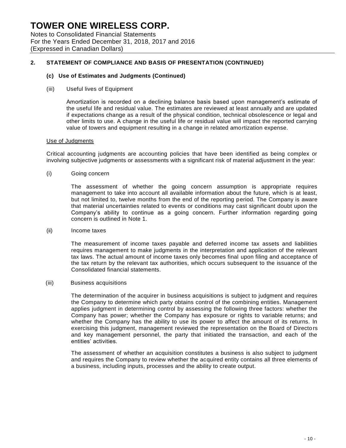Notes to Consolidated Financial Statements For the Years Ended December 31, 2018, 2017 and 2016 (Expressed in Canadian Dollars)

### **2. STATEMENT OF COMPLIANCE AND BASIS OF PRESENTATION (CONTINUED)**

#### **(c) Use of Estimates and Judgments (Continued)**

(iii) Useful lives of Equipment

Amortization is recorded on a declining balance basis based upon management's estimate of the useful life and residual value. The estimates are reviewed at least annually and are updated if expectations change as a result of the physical condition, technical obsolescence or legal and other limits to use. A change in the useful life or residual value will impact the reported carrying value of towers and equipment resulting in a change in related amortization expense.

#### Use of Judgments

Critical accounting judgments are accounting policies that have been identified as being complex or involving subjective judgments or assessments with a significant risk of material adjustment in the year:

(i) Going concern

The assessment of whether the going concern assumption is appropriate requires management to take into account all available information about the future, which is at least, but not limited to, twelve months from the end of the reporting period. The Company is aware that material uncertainties related to events or conditions may cast significant doubt upon the Company's ability to continue as a going concern. Further information regarding going concern is outlined in Note 1.

(ii) Income taxes

The measurement of income taxes payable and deferred income tax assets and liabilities requires management to make judgments in the interpretation and application of the relevant tax laws. The actual amount of income taxes only becomes final upon filing and acceptance of the tax return by the relevant tax authorities, which occurs subsequent to the issuance of the Consolidated financial statements.

(iii) Business acquisitions

The determination of the acquirer in business acquisitions is subject to judgment and requires the Company to determine which party obtains control of the combining entities. Management applies judgment in determining control by assessing the following three factors: whether the Company has power; whether the Company has exposure or rights to variable returns; and whether the Company has the ability to use its power to affect the amount of its returns. In exercising this judgment, management reviewed the representation on the Board of Directo rs and key management personnel, the party that initiated the transaction, and each of the entities' activities.

The assessment of whether an acquisition constitutes a business is also subject to judgment and requires the Company to review whether the acquired entity contains all three elements of a business, including inputs, processes and the ability to create output.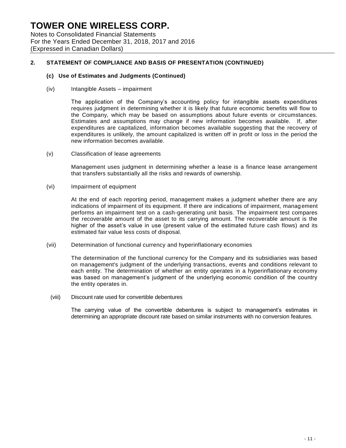Notes to Consolidated Financial Statements For the Years Ended December 31, 2018, 2017 and 2016 (Expressed in Canadian Dollars)

### **2. STATEMENT OF COMPLIANCE AND BASIS OF PRESENTATION (CONTINUED)**

#### **(c) Use of Estimates and Judgments (Continued)**

(iv) Intangible Assets – impairment

The application of the Company's accounting policy for intangible assets expenditures requires judgment in determining whether it is likely that future economic benefits will flow to the Company, which may be based on assumptions about future events or circumstances. Estimates and assumptions may change if new information becomes available. If, after expenditures are capitalized, information becomes available suggesting that the recovery of expenditures is unlikely, the amount capitalized is written off in profit or loss in the period the new information becomes available.

(v) Classification of lease agreements

Management uses judgment in determining whether a lease is a finance lease arrangement that transfers substantially all the risks and rewards of ownership.

(vi) Impairment of equipment

At the end of each reporting period, management makes a judgment whether there are any indications of impairment of its equipment. If there are indications of impairment, management performs an impairment test on a cash-generating unit basis. The impairment test compares the recoverable amount of the asset to its carrying amount. The recoverable amount is the higher of the asset's value in use (present value of the estimated future cash flows) and its estimated fair value less costs of disposal.

(vii) Determination of functional currency and hyperinflationary economies

The determination of the functional currency for the Company and its subsidiaries was based on management's judgment of the underlying transactions, events and conditions relevant to each entity. The determination of whether an entity operates in a hyperinflationary economy was based on management's judgment of the underlying economic condition of the country the entity operates in.

(viii) Discount rate used for convertible debentures

The carrying value of the convertible debentures is subject to management's estimates in determining an appropriate discount rate based on similar instruments with no conversion features.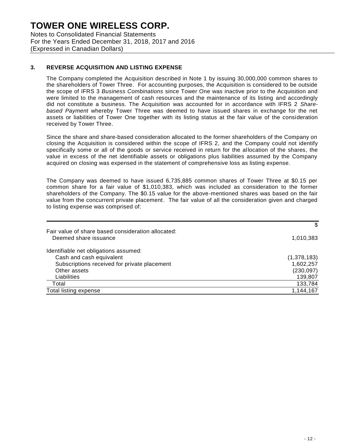Notes to Consolidated Financial Statements For the Years Ended December 31, 2018, 2017 and 2016 (Expressed in Canadian Dollars)

### **3. REVERSE ACQUISITION AND LISTING EXPENSE**

The Company completed the Acquisition described in Note 1 by issuing 30,000,000 common shares to the shareholders of Tower Three. For accounting purposes, the Acquisition is considered to be outside the scope of IFRS 3 *Business Combinations* since Tower One was inactive prior to the Acquisition and were limited to the management of cash resources and the maintenance of its listing and accordingly did not constitute a business. The Acquisition was accounted for in accordance with IFRS 2 *Sharebased Payment* whereby Tower Three was deemed to have issued shares in exchange for the net assets or liabilities of Tower One together with its listing status at the fair value of the consideration received by Tower Three.

Since the share and share-based consideration allocated to the former shareholders of the Company on closing the Acquisition is considered within the scope of IFRS 2, and the Company could not identify specifically some or all of the goods or service received in return for the allocation of the shares, the value in excess of the net identifiable assets or obligations plus liabilities assumed by the Company acquired on closing was expensed in the statement of comprehensive loss as listing expense.

The Company was deemed to have issued 6,735,885 common shares of Tower Three at \$0.15 per common share for a fair value of \$1,010,383, which was included as consideration to the former shareholders of the Company. The \$0.15 value for the above-mentioned shares was based on the fair value from the concurrent private placement. The fair value of all the consideration given and charged to listing expense was comprised of:

|                                                                             | \$          |
|-----------------------------------------------------------------------------|-------------|
| Fair value of share based consideration allocated:<br>Deemed share issuance | 1,010,383   |
| Identifiable net obligations assumed:                                       |             |
| Cash and cash equivalent                                                    | (1,378,183) |
| Subscriptions received for private placement                                | 1,602,257   |
| Other assets                                                                | (230, 097)  |
| Liabilities                                                                 | 139,807     |
| Total                                                                       | 133,784     |
| Total listing expense                                                       | 1,144,167   |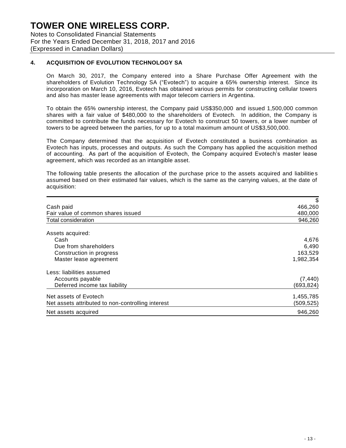Notes to Consolidated Financial Statements For the Years Ended December 31, 2018, 2017 and 2016 (Expressed in Canadian Dollars)

### **4. ACQUISITION OF EVOLUTION TECHNOLOGY SA**

On March 30, 2017, the Company entered into a Share Purchase Offer Agreement with the shareholders of Evolution Technology SA ("Evotech") to acquire a 65% ownership interest. Since its incorporation on March 10, 2016, Evotech has obtained various permits for constructing cellular towers and also has master lease agreements with major telecom carriers in Argentina.

To obtain the 65% ownership interest, the Company paid US\$350,000 and issued 1,500,000 common shares with a fair value of \$480,000 to the shareholders of Evotech. In addition, the Company is committed to contribute the funds necessary for Evotech to construct 50 towers, or a lower number of towers to be agreed between the parties, for up to a total maximum amount of US\$3,500,000.

The Company determined that the acquisition of Evotech constituted a business combination as Evotech has inputs, processes and outputs. As such the Company has applied the acquisition method of accounting. As part of the acquisition of Evotech, the Company acquired Evotech's master lease agreement, which was recorded as an intangible asset.

The following table presents the allocation of the purchase price to the assets acquired and liabilitie s assumed based on their estimated fair values, which is the same as the carrying values, at the date of acquisition:

|                                                   | \$         |
|---------------------------------------------------|------------|
| Cash paid                                         | 466,260    |
| Fair value of common shares issued                | 480,000    |
| Total consideration                               | 946,260    |
| Assets acquired:                                  |            |
| Cash                                              | 4,676      |
| Due from shareholders                             | 6,490      |
| Construction in progress                          | 163,529    |
| Master lease agreement                            | 1,982,354  |
| Less: liabilities assumed                         |            |
| Accounts payable                                  | (7, 440)   |
| Deferred income tax liability                     | (693, 824) |
| Net assets of Evotech                             | 1,455,785  |
| Net assets attributed to non-controlling interest | (509,525)  |
| Net assets acquired                               | 946,260    |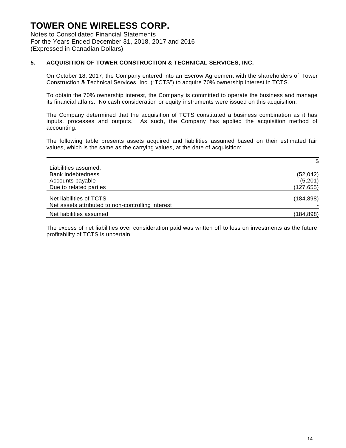Notes to Consolidated Financial Statements For the Years Ended December 31, 2018, 2017 and 2016 (Expressed in Canadian Dollars)

### **5. ACQUISITION OF TOWER CONSTRUCTION & TECHNICAL SERVICES, INC.**

On October 18, 2017, the Company entered into an Escrow Agreement with the shareholders of Tower Construction & Technical Services, Inc. ("TCTS") to acquire 70% ownership interest in TCTS.

To obtain the 70% ownership interest, the Company is committed to operate the business and manage its financial affairs. No cash consideration or equity instruments were issued on this acquisition.

The Company determined that the acquisition of TCTS constituted a business combination as it has inputs, processes and outputs. As such, the Company has applied the acquisition method of accounting.

The following table presents assets acquired and liabilities assumed based on their estimated fair values, which is the same as the carrying values, at the date of acquisition:

|                                                   | \$         |
|---------------------------------------------------|------------|
| Liabilities assumed:                              |            |
| <b>Bank indebtedness</b>                          | (52, 042)  |
| Accounts payable                                  | (5,201)    |
| Due to related parties                            | (127, 655) |
|                                                   |            |
| Net liabilities of TCTS                           | (184, 898) |
| Net assets attributed to non-controlling interest |            |
| Net liabilities assumed                           | (184,898)  |

The excess of net liabilities over consideration paid was written off to loss on investments as the future profitability of TCTS is uncertain.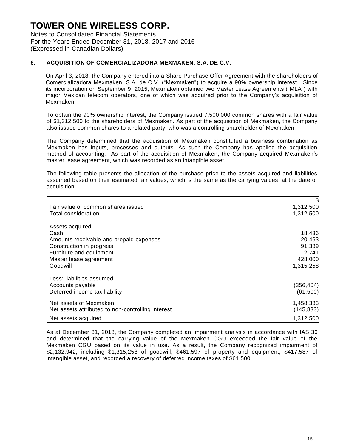Notes to Consolidated Financial Statements For the Years Ended December 31, 2018, 2017 and 2016 (Expressed in Canadian Dollars)

### **6. ACQUISITION OF COMERCIALIZADORA MEXMAKEN, S.A. DE C.V.**

On April 3, 2018, the Company entered into a Share Purchase Offer Agreement with the shareholders of Comercializadora Mexmaken, S.A. de C.V. ("Mexmaken") to acquire a 90% ownership interest. Since its incorporation on September 9, 2015, Mexmaken obtained two Master Lease Agreements ("MLA") with major Mexican telecom operators, one of which was acquired prior to the Company's acquisition of Mexmaken.

To obtain the 90% ownership interest, the Company issued 7,500,000 common shares with a fair value of \$1,312,500 to the shareholders of Mexmaken. As part of the acquisition of Mexmaken, the Company also issued common shares to a related party, who was a controlling shareholder of Mexmaken.

The Company determined that the acquisition of Mexmaken constituted a business combination as Mexmaken has inputs, processes and outputs. As such the Company has applied the acquisition method of accounting. As part of the acquisition of Mexmaken, the Company acquired Mexmaken's master lease agreement, which was recorded as an intangible asset.

The following table presents the allocation of the purchase price to the assets acquired and liabilities assumed based on their estimated fair values, which is the same as the carrying values, at the date of acquisition:

|                                                   | \$         |
|---------------------------------------------------|------------|
| Fair value of common shares issued                | 1,312,500  |
| Total consideration                               | 1,312,500  |
|                                                   |            |
| Assets acquired:                                  |            |
| Cash                                              | 18,436     |
| Amounts receivable and prepaid expenses           | 20,463     |
| Construction in progress                          | 91,339     |
| Furniture and equipment                           | 2,741      |
| Master lease agreement                            | 428,000    |
| Goodwill                                          | 1,315,258  |
| Less: liabilities assumed                         |            |
| Accounts payable                                  | (356, 404) |
| Deferred income tax liability                     | (61, 500)  |
| Net assets of Mexmaken                            | 1,458,333  |
| Net assets attributed to non-controlling interest | (145, 833) |
| Net assets acquired                               | 1,312,500  |

As at December 31, 2018, the Company completed an impairment analysis in accordance with IAS 36 and determined that the carrying value of the Mexmaken CGU exceeded the fair value of the Mexmaken CGU based on its value in use. As a result, the Company recognized impairment of \$2,132,942, including \$1,315,258 of goodwill, \$461,597 of property and equipment, \$417,587 of intangible asset, and recorded a recovery of deferred income taxes of \$61,500.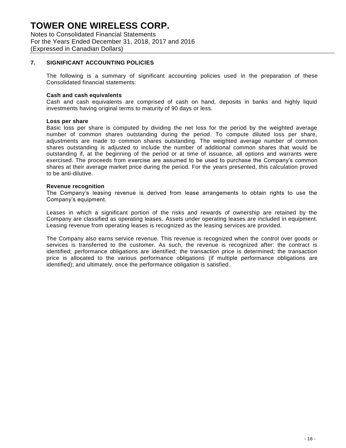Notes to Consolidated Financial Statements For the Years Ended December 31, 2018, 2017 and 2016 (Expressed in Canadian Dollars)

### **7. SIGNIFICANT ACCOUNTING POLICIES**

The following is a summary of significant accounting policies used in the preparation of these Consolidated financial statements:

#### **Cash and cash equivalents**

Cash and cash equivalents are comprised of cash on hand, deposits in banks and highly liquid investments having original terms to maturity of 90 days or less.

#### **Loss per share**

Basic loss per share is computed by dividing the net loss for the period by the weighted average number of common shares outstanding during the period. To compute diluted loss per share, adjustments are made to common shares outstanding. The weighted average number of common shares outstanding is adjusted to include the number of additional common shares that would be outstanding if, at the beginning of the period or at time of issuance, all options and warrants were exercised. The proceeds from exercise are assumed to be used to purchase the Company's common shares at their average market price during the period. For the years presented, this calculation proved to be anti-dilutive.

#### **Revenue recognition**

The Company's leasing revenue is derived from lease arrangements to obtain rights to use the Company's equipment.

Leases in which a significant portion of the risks and rewards of ownership are retained by the Company are classified as operating leases. Assets under operating leases are included in equipment. Leasing revenue from operating leases is recognized as the leasing services are provided.

The Company also earns service revenue. This revenue is recognized when the control over goods or services is transferred to the customer. As such, the revenue is recognized after: the contract is identified; performance obligations are identified; the transaction price is determined; the transaction price is allocated to the various performance obligations (if multiple performance obligations are identified); and ultimately, once the performance obligation is satisfied.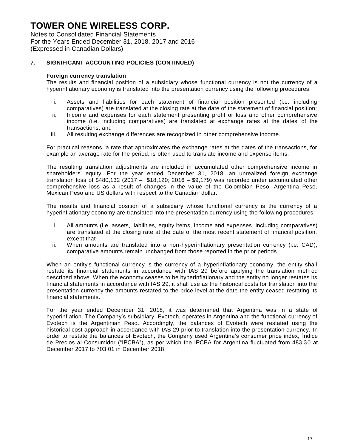Notes to Consolidated Financial Statements For the Years Ended December 31, 2018, 2017 and 2016 (Expressed in Canadian Dollars)

## **7. SIGNIFICANT ACCOUNTING POLICIES (CONTINUED)**

#### **Foreign currency translation**

The results and financial position of a subsidiary whose functional currency is not the currency of a hyperinflationary economy is translated into the presentation currency using the following procedures:

- i. Assets and liabilities for each statement of financial position presented (i.e. including comparatives) are translated at the closing rate at the date of the statement of financial position;
- ii. Income and expenses for each statement presenting profit or loss and other comprehensive income (i.e. including comparatives) are translated at exchange rates at the dates of the transactions; and
- iii. All resulting exchange differences are recognized in other comprehensive income.

For practical reasons, a rate that approximates the exchange rates at the dates of the transactions, for example an average rate for the period, is often used to translate income and expense items.

The resulting translation adjustments are included in accumulated other comprehensive income in shareholders' equity. For the year ended December 31, 2018, an unrealized foreign exchange translation loss of \$480,132 (2017 – \$18,120; 2016 – \$9,179) was recorded under accumulated other comprehensive loss as a result of changes in the value of the Colombian Peso, Argentina Peso, Mexican Peso and US dollars with respect to the Canadian dollar.

The results and financial position of a subsidiary whose functional currency is the currency of a hyperinflationary economy are translated into the presentation currency using the following procedures:

- i. All amounts (i.e. assets, liabilities, equity items, income and expenses, including comparatives) are translated at the closing rate at the date of the most recent statement of financial position, except that
- ii. When amounts are translated into a non-hyperinflationary presentation currency (i.e. CAD), comparative amounts remain unchanged from those reported in the prior periods.

When an entity's functional currency is the currency of a hyperinflationary economy, the entity shall restate its financial statements in accordance with IAS 29 before applying the translation meth od described above. When the economy ceases to be hyperinflationary and the entity no longer restates its financial statements in accordance with IAS 29, it shall use as the historical costs for translation into the presentation currency the amounts restated to the price level at the date the entity ceased restating its financial statements.

For the year ended December 31, 2018, it was determined that Argentina was in a state of hyperinflation. The Company's subsidiary, Evotech, operates in Argentina and the functional currency of Evotech is the Argentinian Peso. Accordingly, the balances of Evotech were restated using the historical cost approach in accordance with IAS 29 prior to translation into the presentation currency. In order to restate the balances of Evotech, the Company used Argentina's consumer price index, Índice de Precios al Consumidor ("IPCBA"), as per which the IPCBA for Argentina fluctuated from 483.30 at December 2017 to 703.01 in December 2018.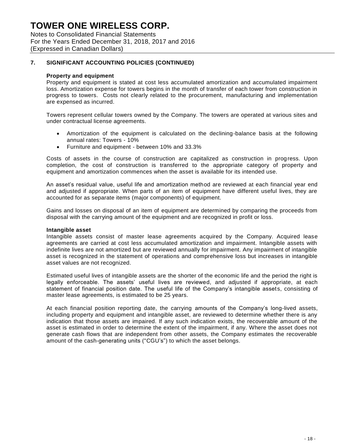Notes to Consolidated Financial Statements For the Years Ended December 31, 2018, 2017 and 2016 (Expressed in Canadian Dollars)

### **7. SIGNIFICANT ACCOUNTING POLICIES (CONTINUED)**

#### **Property and equipment**

Property and equipment is stated at cost less accumulated amortization and accumulated impairment loss. Amortization expense for towers begins in the month of transfer of each tower from construction in progress to towers. Costs not clearly related to the procurement, manufacturing and implementation are expensed as incurred.

Towers represent cellular towers owned by the Company. The towers are operated at various sites and under contractual license agreements.

- Amortization of the equipment is calculated on the declining-balance basis at the following annual rates: Towers - 10%
- Furniture and equipment between 10% and 33.3%

Costs of assets in the course of construction are capitalized as construction in progress. Upon completion, the cost of construction is transferred to the appropriate category of property and equipment and amortization commences when the asset is available for its intended use.

An asset's residual value, useful life and amortization method are reviewed at each financial year end and adjusted if appropriate. When parts of an item of equipment have different useful lives, they are accounted for as separate items (major components) of equipment.

Gains and losses on disposal of an item of equipment are determined by comparing the proceeds from disposal with the carrying amount of the equipment and are recognized in profit or loss.

#### **Intangible asset**

Intangible assets consist of master lease agreements acquired by the Company. Acquired lease agreements are carried at cost less accumulated amortization and impairment. Intangible assets with indefinite lives are not amortized but are reviewed annually for impairment. Any impairment of intangible asset is recognized in the statement of operations and comprehensive loss but increases in intangible asset values are not recognized.

Estimated useful lives of intangible assets are the shorter of the economic life and the period the right is legally enforceable. The assets' useful lives are reviewed, and adjusted if appropriate, at each statement of financial position date. The useful life of the Company's intangible assets, consisting of master lease agreements, is estimated to be 25 years.

At each financial position reporting date, the carrying amounts of the Company's long-lived assets, including property and equipment and intangible asset, are reviewed to determine whether there is any indication that those assets are impaired. If any such indication exists, the recoverable amount of the asset is estimated in order to determine the extent of the impairment, if any. Where the asset does not generate cash flows that are independent from other assets, the Company estimates the recoverable amount of the cash-generating units ("CGU's") to which the asset belongs.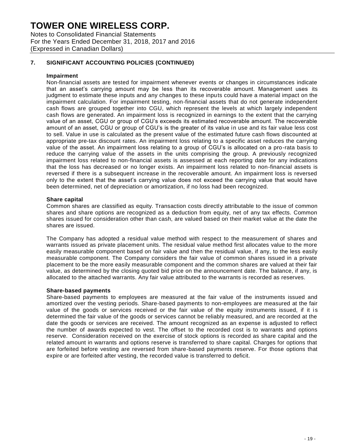Notes to Consolidated Financial Statements For the Years Ended December 31, 2018, 2017 and 2016 (Expressed in Canadian Dollars)

### **7. SIGNIFICANT ACCOUNTING POLICIES (CONTINUED)**

#### **Impairment**

Non-financial assets are tested for impairment whenever events or changes in circumstances indicate that an asset's carrying amount may be less than its recoverable amount. Management uses its judgment to estimate these inputs and any changes to these inputs could have a material impact on the impairment calculation. For impairment testing, non-financial assets that do not generate independent cash flows are grouped together into CGU, which represent the levels at which largely independent cash flows are generated. An impairment loss is recognized in earnings to the extent that the carrying value of an asset, CGU or group of CGU's exceeds its estimated recoverable amount. The recoverable amount of an asset, CGU or group of CGU's is the greater of its value in use and its fair value less cost to sell. Value in use is calculated as the present value of the estimated future cash flows discounted at appropriate pre-tax discount rates. An impairment loss relating to a specific asset reduces the carrying value of the asset. An impairment loss relating to a group of CGU's is allocated on a pro-rata basis to reduce the carrying value of the assets in the units comprising the group. A previously recognized impairment loss related to non-financial assets is assessed at each reporting date for any indications that the loss has decreased or no longer exists. An impairment loss related to non-financial assets is reversed if there is a subsequent increase in the recoverable amount. An impairment loss is reversed only to the extent that the asset's carrying value does not exceed the carrying value that would have been determined, net of depreciation or amortization, if no loss had been recognized.

#### **Share capital**

Common shares are classified as equity. Transaction costs directly attributable to the issue of common shares and share options are recognized as a deduction from equity, net of any tax effects. Common shares issued for consideration other than cash, are valued based on their market value at the date the shares are issued.

The Company has adopted a residual value method with respect to the measurement of shares and warrants issued as private placement units. The residual value method first allocates value to the more easily measurable component based on fair value and then the residual value, if any, to the less easily measurable component. The Company considers the fair value of common shares issued in a private placement to be the more easily measurable component and the common shares are valued at their fair value, as determined by the closing quoted bid price on the announcement date. The balance, if any, is allocated to the attached warrants. Any fair value attributed to the warrants is recorded as reserves.

#### **Share-based payments**

Share-based payments to employees are measured at the fair value of the instruments issued and amortized over the vesting periods. Share-based payments to non-employees are measured at the fair value of the goods or services received or the fair value of the equity instruments issued, if it is determined the fair value of the goods or services cannot be reliably measured, and are recorded at the date the goods or services are received. The amount recognized as an expense is adjusted to reflect the number of awards expected to vest. The offset to the recorded cost is to warrants and options reserve. Consideration received on the exercise of stock options is recorded as share capital and the related amount in warrants and options reserve is transferred to share capital. Charges for options that are forfeited before vesting are reversed from share-based payments reserve. For those options that expire or are forfeited after vesting, the recorded value is transferred to deficit.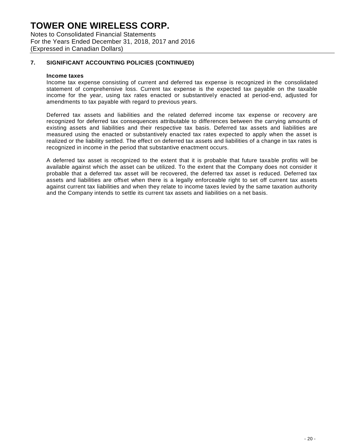Notes to Consolidated Financial Statements For the Years Ended December 31, 2018, 2017 and 2016 (Expressed in Canadian Dollars)

### **7. SIGNIFICANT ACCOUNTING POLICIES (CONTINUED)**

#### **Income taxes**

Income tax expense consisting of current and deferred tax expense is recognized in the consolidated statement of comprehensive loss. Current tax expense is the expected tax payable on the taxable income for the year, using tax rates enacted or substantively enacted at period-end, adjusted for amendments to tax payable with regard to previous years.

Deferred tax assets and liabilities and the related deferred income tax expense or recovery are recognized for deferred tax consequences attributable to differences between the carrying amounts of existing assets and liabilities and their respective tax basis. Deferred tax assets and liabilities are measured using the enacted or substantively enacted tax rates expected to apply when the asset is realized or the liability settled. The effect on deferred tax assets and liabilities of a change in tax rates is recognized in income in the period that substantive enactment occurs.

A deferred tax asset is recognized to the extent that it is probable that future taxable profits will be available against which the asset can be utilized. To the extent that the Company does not consider it probable that a deferred tax asset will be recovered, the deferred tax asset is reduced. Deferred tax assets and liabilities are offset when there is a legally enforceable right to set off current tax assets against current tax liabilities and when they relate to income taxes levied by the same taxation authority and the Company intends to settle its current tax assets and liabilities on a net basis.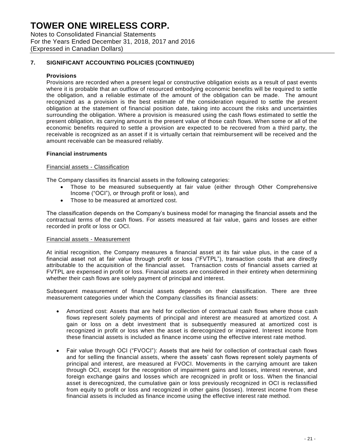Notes to Consolidated Financial Statements For the Years Ended December 31, 2018, 2017 and 2016 (Expressed in Canadian Dollars)

### **7. SIGNIFICANT ACCOUNTING POLICIES (CONTINUED)**

### **Provisions**

Provisions are recorded when a present legal or constructive obligation exists as a result of past events where it is probable that an outflow of resourced embodying economic benefits will be required to settle the obligation, and a reliable estimate of the amount of the obligation can be made. The amount recognized as a provision is the best estimate of the consideration required to settle the present obligation at the statement of financial position date, taking into account the risks and uncertainties surrounding the obligation. Where a provision is measured using the cash flows estimated to settle the present obligation, its carrying amount is the present value of those cash flows. When some or all of the economic benefits required to settle a provision are expected to be recovered from a third party, the receivable is recognized as an asset if it is virtually certain that reimbursement will be received and the amount receivable can be measured reliably.

#### **Financial instruments**

#### Financial assets - Classification

The Company classifies its financial assets in the following categories:

- Those to be measured subsequently at fair value (either through Other Comprehensive Income ("OCI"), or through profit or loss), and
- Those to be measured at amortized cost.

The classification depends on the Company's business model for managing the financial assets and the contractual terms of the cash flows. For assets measured at fair value, gains and losses are either recorded in profit or loss or OCI.

#### Financial assets - Measurement

At initial recognition, the Company measures a financial asset at its fair value plus, in the case of a financial asset not at fair value through profit or loss ("FVTPL"), transaction costs that are directly attributable to the acquisition of the financial asset. Transaction costs of financial assets carried at FVTPL are expensed in profit or loss. Financial assets are considered in their entirety when determining whether their cash flows are solely payment of principal and interest.

Subsequent measurement of financial assets depends on their classification. There are three measurement categories under which the Company classifies its financial assets:

- Amortized cost: Assets that are held for collection of contractual cash flows where those cash flows represent solely payments of principal and interest are measured at amortized cost. A gain or loss on a debt investment that is subsequently measured at amortized cost is recognized in profit or loss when the asset is derecognized or impaired. Interest income from these financial assets is included as finance income using the effective interest rate method.
- Fair value through OCI ("FVOCI"): Assets that are held for collection of contractual cash flows and for selling the financial assets, where the assets' cash flows represent solely payments of principal and interest, are measured at FVOCI. Movements in the carrying amount are taken through OCI, except for the recognition of impairment gains and losses, interest revenue, and foreign exchange gains and losses which are recognized in profit or loss. When the financial asset is derecognized, the cumulative gain or loss previously recognized in OCI is reclassified from equity to profit or loss and recognized in other gains (losses). Interest income from these financial assets is included as finance income using the effective interest rate method.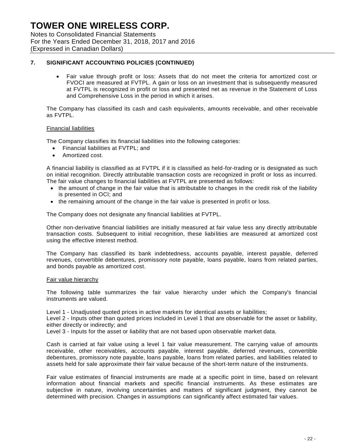Notes to Consolidated Financial Statements For the Years Ended December 31, 2018, 2017 and 2016 (Expressed in Canadian Dollars)

### **7. SIGNIFICANT ACCOUNTING POLICIES (CONTINUED)**

 Fair value through profit or loss: Assets that do not meet the criteria for amortized cost or FVOCI are measured at FVTPL. A gain or loss on an investment that is subsequently measured at FVTPL is recognized in profit or loss and presented net as revenue in the Statement of Loss and Comprehensive Loss in the period in which it arises.

The Company has classified its cash and cash equivalents, amounts receivable, and other receivable as FVTPL.

#### Financial liabilities

The Company classifies its financial liabilities into the following categories:

- Financial liabilities at FVTPL; and
- Amortized cost.

A financial liability is classified as at FVTPL if it is classified as held-for-trading or is designated as such on initial recognition. Directly attributable transaction costs are recognized in profit or loss as incurred. The fair value changes to financial liabilities at FVTPL are presented as follows:

- the amount of change in the fair value that is attributable to changes in the credit risk of the liability is presented in OCI; and
- the remaining amount of the change in the fair value is presented in profit or loss.

The Company does not designate any financial liabilities at FVTPL.

Other non-derivative financial liabilities are initially measured at fair value less any directly attributable transaction costs. Subsequent to initial recognition, these liabilities are measured at amortized cost using the effective interest method.

The Company has classified its bank indebtedness, accounts payable, interest payable, deferred revenues, convertible debentures, promissory note payable, loans payable, loans from related parties, and bonds payable as amortized cost.

#### Fair value hierarchy

The following table summarizes the fair value hierarchy under which the Company's financial instruments are valued.

Level 1 - Unadjusted quoted prices in active markets for identical assets or liabilities;

Level 2 - Inputs other than quoted prices included in Level 1 that are observable for the asset or liability, either directly or indirectly; and

Level 3 - Inputs for the asset or liability that are not based upon observable market data.

Cash is carried at fair value using a level 1 fair value measurement. The carrying value of amounts receivable, other receivables, accounts payable, interest payable, deferred revenues, convertible debentures, promissory note payable, loans payable, loans from related parties, and liabilities related to assets held for sale approximate their fair value because of the short-term nature of the instruments.

Fair value estimates of financial instruments are made at a specific point in time, based on relevant information about financial markets and specific financial instruments. As these estimates are subjective in nature, involving uncertainties and matters of significant judgment, they cannot be determined with precision. Changes in assumptions can significantly affect estimated fair values.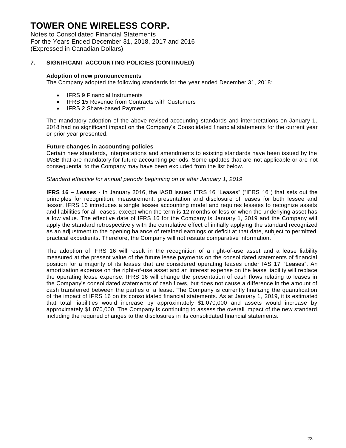Notes to Consolidated Financial Statements For the Years Ended December 31, 2018, 2017 and 2016 (Expressed in Canadian Dollars)

### **7. SIGNIFICANT ACCOUNTING POLICIES (CONTINUED)**

#### **Adoption of new pronouncements**

The Company adopted the following standards for the year ended December 31, 2018:

- IFRS 9 Financial Instruments
- IFRS 15 Revenue from Contracts with Customers
- IFRS 2 Share-based Payment

The mandatory adoption of the above revised accounting standards and interpretations on January 1, 2018 had no significant impact on the Company's Consolidated financial statements for the current year or prior year presented.

#### **Future changes in accounting policies**

Certain new standards, interpretations and amendments to existing standards have been issued by the IASB that are mandatory for future accounting periods. Some updates that are not applicable or are not consequential to the Company may have been excluded from the list below.

#### *Standard effective for annual periods beginning on or after January 1, 2019*

**IFRS 16** *– Leases -* In January 2016, the IASB issued IFRS 16 "Leases" ("IFRS 16") that sets out the principles for recognition, measurement, presentation and disclosure of leases for both lessee and lessor. IFRS 16 introduces a single lessee accounting model and requires lessees to recognize assets and liabilities for all leases, except when the term is 12 months or less or when the underlying asset has a low value. The effective date of IFRS 16 for the Company is January 1, 2019 and the Company will apply the standard retrospectively with the cumulative effect of initially applying the standard recognized as an adjustment to the opening balance of retained earnings or deficit at that date, subject to permitted practical expedients. Therefore, the Company will not restate comparative information.

The adoption of IFRS 16 will result in the recognition of a right-of-use asset and a lease liability measured at the present value of the future lease payments on the consolidated statements of financial position for a majority of its leases that are considered operating leases under IAS 17 "Leases". An amortization expense on the right-of-use asset and an interest expense on the lease liability will replace the operating lease expense. IFRS 16 will change the presentation of cash flows relating to leases in the Company's consolidated statements of cash flows, but does not cause a difference in the amount of cash transferred between the parties of a lease. The Company is currently finalizing the quantification of the impact of IFRS 16 on its consolidated financial statements. As at January 1, 2019, it is estimated that total liabilities would increase by approximately \$1,070,000 and assets would increase by approximately \$1,070,000. The Company is continuing to assess the overall impact of the new standard, including the required changes to the disclosures in its consolidated financial statements.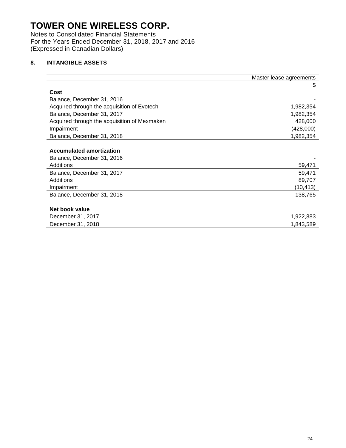Notes to Consolidated Financial Statements For the Years Ended December 31, 2018, 2017 and 2016 (Expressed in Canadian Dollars)

## **8. INTANGIBLE ASSETS**

|                                              | Master lease agreements |
|----------------------------------------------|-------------------------|
|                                              | \$                      |
| Cost                                         |                         |
| Balance, December 31, 2016                   |                         |
| Acquired through the acquisition of Evotech  | 1,982,354               |
| Balance, December 31, 2017                   | 1,982,354               |
| Acquired through the acquisition of Mexmaken | 428,000                 |
| Impairment                                   | (428,000)               |
| Balance, December 31, 2018                   | 1,982,354               |
|                                              |                         |
| <b>Accumulated amortization</b>              |                         |
| Balance, December 31, 2016                   |                         |
| Additions                                    | 59,471                  |
| Balance, December 31, 2017                   | 59,471                  |
| Additions                                    | 89,707                  |
| Impairment                                   | (10,413)                |
| Balance, December 31, 2018                   | 138,765                 |
|                                              |                         |
| Net book value                               |                         |
| December 31, 2017                            | 1,922,883               |
| December 31, 2018                            | 1,843,589               |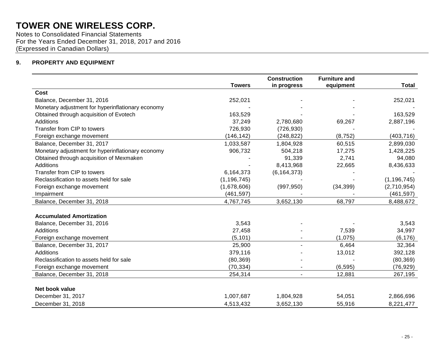Notes to Consolidated Financial Statements For the Years Ended December 31, 2018, 2017 and 2016 (Expressed in Canadian Dollars)

## **9. PROPERTY AND EQUIPMENT**

|                                                   |               | <b>Construction</b> | <b>Furniture and</b> |               |
|---------------------------------------------------|---------------|---------------------|----------------------|---------------|
|                                                   | <b>Towers</b> | in progress         | equipment            | <b>Total</b>  |
| Cost                                              |               |                     |                      |               |
| Balance, December 31, 2016                        | 252,021       |                     |                      | 252,021       |
| Monetary adjustment for hyperinflationary economy |               |                     |                      |               |
| Obtained through acquisition of Evotech           | 163,529       |                     |                      | 163,529       |
| Additions                                         | 37,249        | 2,780,680           | 69,267               | 2,887,196     |
| Transfer from CIP to towers                       | 726,930       | (726, 930)          |                      |               |
| Foreign exchange movement                         | (146, 142)    | (248, 822)          | (8, 752)             | (403, 716)    |
| Balance, December 31, 2017                        | 1,033,587     | 1,804,928           | 60,515               | 2,899,030     |
| Monetary adjustment for hyperinflationary economy | 906,732       | 504,218             | 17,275               | 1,428,225     |
| Obtained through acquisition of Mexmaken          |               | 91,339              | 2,741                | 94,080        |
| Additions                                         |               | 8,413,968           | 22,665               | 8,436,633     |
| Transfer from CIP to towers                       | 6,164,373     | (6, 164, 373)       |                      |               |
| Reclassification to assets held for sale          | (1, 196, 745) |                     |                      | (1, 196, 745) |
| Foreign exchange movement                         | (1,678,606)   | (997, 950)          | (34, 399)            | (2,710,954)   |
| Impairment                                        | (461, 597)    |                     |                      | (461, 597)    |
| Balance, December 31, 2018                        | 4,767,745     | 3,652,130           | 68,797               | 8,488,672     |
|                                                   |               |                     |                      |               |
| <b>Accumulated Amortization</b>                   |               |                     |                      |               |
| Balance, December 31, 2016                        | 3,543         |                     |                      | 3,543         |
| Additions                                         | 27,458        |                     | 7,539                | 34,997        |
| Foreign exchange movement                         | (5, 101)      |                     | (1,075)              | (6, 176)      |
| Balance, December 31, 2017                        | 25,900        |                     | 6,464                | 32,364        |
| Additions                                         | 379,116       |                     | 13,012               | 392,128       |
| Reclassification to assets held for sale          | (80, 369)     |                     |                      | (80, 369)     |
| Foreign exchange movement                         | (70, 334)     |                     | (6, 595)             | (76, 929)     |
| Balance, December 31, 2018                        | 254,314       | $\blacksquare$      | 12,881               | 267,195       |
| Net book value                                    |               |                     |                      |               |
| December 31, 2017                                 | 1,007,687     | 1,804,928           | 54,051               | 2,866,696     |
| December 31, 2018                                 | 4,513,432     | 3,652,130           | 55,916               | 8,221,477     |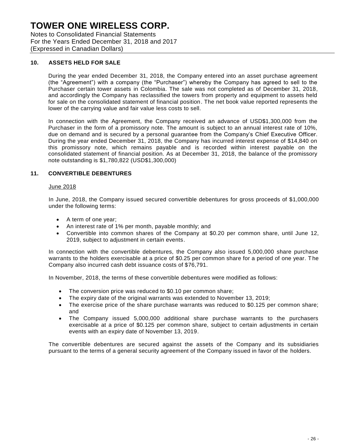Notes to Consolidated Financial Statements For the Years Ended December 31, 2018 and 2017 (Expressed in Canadian Dollars)

#### **10. ASSETS HELD FOR SALE**

During the year ended December 31, 2018, the Company entered into an asset purchase agreement (the "Agreement") with a company (the "Purchaser") whereby the Company has agreed to sell to the Purchaser certain tower assets in Colombia. The sale was not completed as of December 31, 2018, and accordingly the Company has reclassified the towers from property and equipment to assets held for sale on the consolidated statement of financial position. The net book value reported represents the lower of the carrying value and fair value less costs to sell.

In connection with the Agreement, the Company received an advance of USD\$1,300,000 from the Purchaser in the form of a promissory note. The amount is subject to an annual interest rate of 10%, due on demand and is secured by a personal guarantee from the Company's Chief Executive Officer. During the year ended December 31, 2018, the Company has incurred interest expense of \$14,840 on this promissory note, which remains payable and is recorded within interest payable on the consolidated statement of financial position. As at December 31, 2018, the balance of the promissory note outstanding is \$1,780,822 (USD\$1,300,000)

### **11. CONVERTIBLE DEBENTURES**

#### June 2018

In June, 2018, the Company issued secured convertible debentures for gross proceeds of \$1,000,000 under the following terms:

- A term of one year;
- An interest rate of 1% per month, payable monthly; and
- Convertible into common shares of the Company at \$0.20 per common share, until June 12, 2019, subject to adjustment in certain events.

In connection with the convertible debentures, the Company also issued 5,000,000 share purchase warrants to the holders exercisable at a price of \$0.25 per common share for a period of one year. The Company also incurred cash debt issuance costs of \$76,791.

In November, 2018, the terms of these convertible debentures were modified as follows:

- The conversion price was reduced to \$0.10 per common share;
- The expiry date of the original warrants was extended to November 13, 2019;
- The exercise price of the share purchase warrants was reduced to \$0.125 per common share; and
- The Company issued 5,000,000 additional share purchase warrants to the purchasers exercisable at a price of \$0.125 per common share, subject to certain adjustments in certain events with an expiry date of November 13, 2019.

The convertible debentures are secured against the assets of the Company and its subsidiaries pursuant to the terms of a general security agreement of the Company issued in favor of the holders.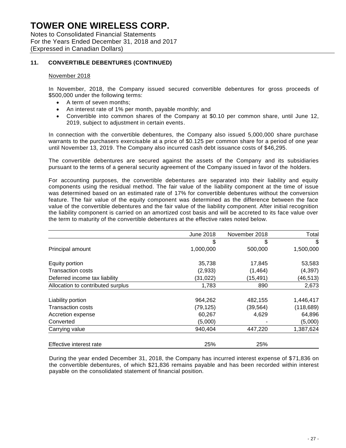Notes to Consolidated Financial Statements For the Years Ended December 31, 2018 and 2017 (Expressed in Canadian Dollars)

### **11. CONVERTIBLE DEBENTURES (CONTINUED)**

#### November 2018

In November, 2018, the Company issued secured convertible debentures for gross proceeds of \$500,000 under the following terms:

- A term of seven months;
- An interest rate of 1% per month, payable monthly; and
- Convertible into common shares of the Company at \$0.10 per common share, until June 12, 2019, subject to adjustment in certain events.

In connection with the convertible debentures, the Company also issued 5,000,000 share purchase warrants to the purchasers exercisable at a price of \$0.125 per common share for a period of one year until November 13, 2019. The Company also incurred cash debt issuance costs of \$46,295.

The convertible debentures are secured against the assets of the Company and its subsidiaries pursuant to the terms of a general security agreement of the Company issued in favor of the holders.

For accounting purposes, the convertible debentures are separated into their liability and equity components using the residual method. The fair value of the liability component at the time of issue was determined based on an estimated rate of 17% for convertible debentures without the conversion feature. The fair value of the equity component was determined as the difference between the face value of the convertible debentures and the fair value of the liability component. After initial recognition the liability component is carried on an amortized cost basis and will be accreted to its face value over the term to maturity of the convertible debentures at the effective rates noted below.

|                                   | <b>June 2018</b> | November 2018 | Total      |
|-----------------------------------|------------------|---------------|------------|
|                                   | \$               | \$            | \$         |
| Principal amount                  | 1,000,000        | 500,000       | 1,500,000  |
| Equity portion                    | 35,738           | 17,845        | 53,583     |
| <b>Transaction costs</b>          | (2,933)          | (1, 464)      | (4, 397)   |
| Deferred income tax liability     | (31,022)         | (15, 491)     | (46, 513)  |
| Allocation to contributed surplus | 1,783            | 890           | 2,673      |
| Liability portion                 | 964,262          | 482,155       | 1,446,417  |
| <b>Transaction costs</b>          | (79, 125)        | (39, 564)     | (118, 689) |
| Accretion expense                 | 60,267           | 4,629         | 64,896     |
| Converted                         | (5,000)          |               | (5,000)    |
| Carrying value                    | 940,404          | 447,220       | 1,387,624  |
| Effective interest rate           | 25%              | 25%           |            |

During the year ended December 31, 2018, the Company has incurred interest expense of \$71,836 on the convertible debentures, of which \$21,836 remains payable and has been recorded within interest payable on the consolidated statement of financial position.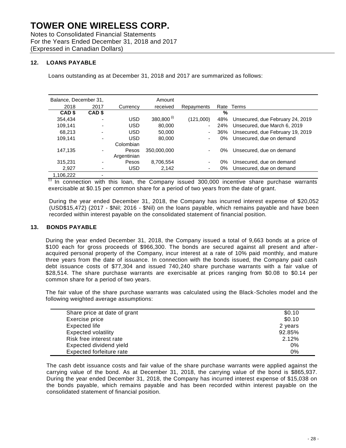Notes to Consolidated Financial Statements For the Years Ended December 31, 2018 and 2017 (Expressed in Canadian Dollars)

### **12. LOANS PAYABLE**

Loans outstanding as at December 31, 2018 and 2017 are summarized as follows:

| Balance, December 31, |        |             | Amount                   |            |      |                                  |
|-----------------------|--------|-------------|--------------------------|------------|------|----------------------------------|
| 2018                  | 2017   | Currency    | received                 | Repayments | Rate | Terms                            |
| CAD \$                | CAD \$ |             |                          |            | %    |                                  |
| 354.434               | ۰      | <b>USD</b>  | $380,800$ <sup>(i)</sup> | (121,000)  | 48%  | Unsecured, due February 24, 2019 |
| 109,141               | ۰      | <b>USD</b>  | 80,000                   | ٠          | 24%  | Unsecured, due March 6, 2019     |
| 68.213                |        | <b>USD</b>  | 50,000                   | ٠          | 36%  | Unsecured, due February 19, 2019 |
| 109,141               |        | USD         | 80,000                   | ٠          | 0%   | Unsecured, due on demand         |
|                       |        | Colombian   |                          |            |      |                                  |
| 147.135               |        | Pesos       | 350,000,000              | ٠          | 0%   | Unsecured, due on demand         |
|                       |        | Argentinian |                          |            |      |                                  |
| 315,231               |        | Pesos       | 8,706,554                | ٠          | 0%   | Unsecured, due on demand         |
| 2.927                 |        | <b>USD</b>  | 2,142                    | ٠          | 0%   | Unsecured, due on demand         |
| 1,106,222             |        |             |                          |            |      |                                  |

 $\overline{v}$  In connection with this loan, the Company issued 300,000 incentive share purchase warrants exercisable at \$0.15 per common share for a period of two years from the date of grant.

During the year ended December 31, 2018, the Company has incurred interest expense of \$20,052 (USD\$15,472) (2017 - \$Nil; 2016 - \$Nil) on the loans payable, which remains payable and have been recorded within interest payable on the consolidated statement of financial position.

### **13. BONDS PAYABLE**

During the year ended December 31, 2018, the Company issued a total of 9,663 bonds at a price of \$100 each for gross proceeds of \$966,300. The bonds are secured against all present and afteracquired personal property of the Company, incur interest at a rate of 10% paid monthly, and mature three years from the date of issuance. In connection with the bonds issued, the Company paid cash debt issuance costs of \$77,304 and issued 740,240 share purchase warrants with a fair value of \$28,514. The share purchase warrants are exercisable at prices ranging from \$0.08 to \$0.14 per common share for a period of two years.

The fair value of the share purchase warrants was calculated using the Black-Scholes model and the following weighted average assumptions:

| Share price at date of grant | \$0.10  |
|------------------------------|---------|
| Exercise price               | \$0.10  |
| Expected life                | 2 years |
| <b>Expected volatility</b>   | 92.85%  |
| Risk free interest rate      | 2.12%   |
| Expected dividend yield      | $0\%$   |
| Expected forfeiture rate     | 0%      |

The cash debt issuance costs and fair value of the share purchase warrants were applied against the carrying value of the bond. As at December 31, 2018, the carrying value of the bond is \$865,937. During the year ended December 31, 2018, the Company has incurred interest expense of \$15,038 on the bonds payable, which remains payable and has been recorded within interest payable on the consolidated statement of financial position.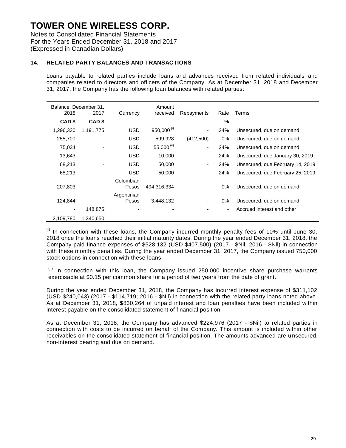Notes to Consolidated Financial Statements For the Years Ended December 31, 2018 and 2017 (Expressed in Canadian Dollars)

### **14. RELATED PARTY BALANCES AND TRANSACTIONS**

Loans payable to related parties include loans and advances received from related individuals and companies related to directors and officers of the Company. As at December 31, 2018 and December 31, 2017, the Company has the following loan balances with related parties:

| Balance, December 31,<br>2018 | 2017              | Currency                 | Amount<br>received | Repayments | Rate          | Terms                            |
|-------------------------------|-------------------|--------------------------|--------------------|------------|---------------|----------------------------------|
| CAD <sub>\$</sub>             | CAD <sub>\$</sub> |                          |                    |            | $\frac{0}{0}$ |                                  |
| 1,296,330                     | 1,191,775         | <b>USD</b>               | $950,000^{(i)}$    | ٠          | 24%           | Unsecured, due on demand         |
| 255,700                       |                   | <b>USD</b>               | 599,928            | (412,500)  | 0%            | Unsecured, due on demand         |
| 75,034                        |                   | <b>USD</b>               | 55,000 $^{(ii)}$   | ٠          | 24%           | Unsecured, due on demand         |
| 13,643                        |                   | <b>USD</b>               | 10,000             | ۰          | 24%           | Unsecured, due January 30, 2019  |
| 68,213                        |                   | <b>USD</b>               | 50,000             | ٠          | 24%           | Unsecured, due February 14, 2019 |
| 68,213                        |                   | <b>USD</b>               | 50,000             | ٠          | 24%           | Unsecured, due February 25, 2019 |
| 207,803                       |                   | Colombian<br>Pesos       | 494,316,334        |            | 0%            | Unsecured, due on demand         |
| 124,844                       |                   | Argentinian<br>Pesos     | 3,448,132          | ٠          | 0%            | Unsecured, due on demand         |
|                               | 148,875           | $\overline{\phantom{0}}$ |                    |            |               | Accrued interest and other       |
| 2,109,780                     | 1,340,650         |                          |                    |            |               |                                  |

 $<sup>(i)</sup>$  In connection with these loans, the Company incurred monthly penalty fees of 10% until June 30,</sup> 2018 once the loans reached their initial maturity dates. During the year ended December 31, 2018, the Company paid finance expenses of \$528,132 (USD \$407,500) (2017 - \$Nil; 2016 - \$Nil) in connection with these monthly penalties. During the year ended December 31, 2017, the Company issued 750,000 stock options in connection with these loans.

 $<sup>(ii)</sup>$  In connection with this loan, the Company issued 250,000 incentive share purchase warrants</sup> exercisable at \$0.15 per common share for a period of two years from the date of grant.

During the year ended December 31, 2018, the Company has incurred interest expense of \$311,102 (USD \$240,043) (2017 - \$114,719; 2016 - \$Nil) in connection with the related party loans noted above. As at December 31, 2018, \$830,264 of unpaid interest and loan penalties have been included within interest payable on the consolidated statement of financial position.

As at December 31, 2018, the Company has advanced \$224,976 (2017 - \$Nil) to related parties in connection with costs to be incurred on behalf of the Company. This amount is included within other receivables on the consolidated statement of financial position. The amounts advanced are u nsecured, non-interest bearing and due on demand.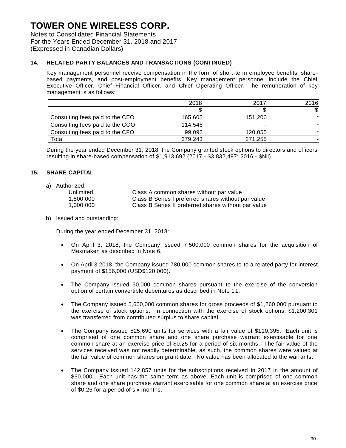Notes to Consolidated Financial Statements For the Years Ended December 31, 2018 and 2017 (Expressed in Canadian Dollars)

### **14. RELATED PARTY BALANCES AND TRANSACTIONS (CONTINUED)**

Key management personnel receive compensation in the form of short-term employee benefits, sharebased payments, and post-employment benefits. Key management personnel include the Chief Executive Officer, Chief Financial Officer, and Chief Operating Officer. The remuneration of key management is as follows:

|                                 | 2018    | 2017    | 2016 |
|---------------------------------|---------|---------|------|
|                                 |         |         | S.   |
| Consulting fees paid to the CEO | 165,605 | 151.200 |      |
| Consulting fees paid to the COO | 114.546 |         |      |
| Consulting fees paid to the CFO | 99.092  | 120,055 |      |
| Total                           | 379.243 | 271,255 |      |

During the year ended December 31, 2018, the Company granted stock options to directors and officers resulting in share-based compensation of \$1,913,692 (2017 - \$3,832,497; 2016 - \$Nil).

#### **15. SHARE CAPITAL**

a) Authorized:

| Unlimited | Class A common shares without par value              |
|-----------|------------------------------------------------------|
| 1.500.000 | Class B Series I preferred shares without par value  |
| 1.000.000 | Class B Series II preferred shares without par value |

b) Issued and outstanding:

During the year ended December 31, 2018:

- On April 3, 2018, the Company issued 7,500,000 common shares for the acquisition of Mexmaken as described in Note 6.
- On April 3 2018, the Company issued 780,000 common shares to to a related party for interest payment of \$156,000 (USD\$120,000).
- The Company issued 50,000 common shares pursuant to the exercise of the conversion option of certain convertible debentures as described in Note 11.
- The Company issued 5,600,000 common shares for gross proceeds of \$1,260,000 pursuant to the exercise of stock options. In connection with the exercise of stock options, \$1,200,301 was transferred from contributed surplus to share capital.
- The Company issued 525,690 units for services with a fair value of \$110,395. Each unit is comprised of one common share and one share purchase warrant exercisable for one common share at an exercise price of \$0.25 for a period of six months. The fair value of the services received was not readily determinable, as such, the common shares were valued at the fair value of common shares on grant date. No value has been allocated to the warrants.
- The Company issued 142,857 units for the subscriptions received in 2017 in the amount of \$30,000. Each unit has the same term as above. Each unit is comprised of one common share and one share purchase warrant exercisable for one common share at an exercise price of \$0.25 for a period of six months.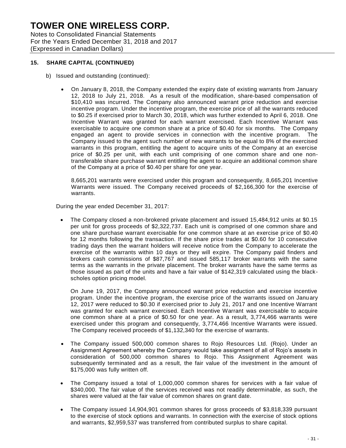Notes to Consolidated Financial Statements For the Years Ended December 31, 2018 and 2017 (Expressed in Canadian Dollars)

### **15. SHARE CAPITAL (CONTINUED)**

- b) Issued and outstanding (continued):
	- On January 8, 2018, the Company extended the expiry date of existing warrants from January 12, 2018 to July 21, 2018. As a result of the modification, share-based compensation of \$10,410 was incurred. The Company also announced warrant price reduction and exercise incentive program. Under the incentive program, the exercise price of all the warrants reduced to \$0.25 if exercised prior to March 30, 2018, which was further extended to April 6, 2018. One Incentive Warrant was granted for each warrant exercised. Each Incentive Warrant was exercisable to acquire one common share at a price of \$0.40 for six months. The Company engaged an agent to provide services in connection with the incentive program. The Company issued to the agent such number of new warrants to be equal to 8% of the exercised warrants in this program, entitling the agent to acquire units of the Company at an exercise price of \$0.25 per unit, with each unit comprising of one common share and one nontransferable share purchase warrant entitling the agent to acquire an additional common share of the Company at a price of \$0.40 per share for one year.

8,665,201 warrants were exercised under this program and consequently, 8,665,201 Incentive Warrants were issued. The Company received proceeds of \$2,166,300 for the exercise of warrants.

During the year ended December 31, 2017:

 The Company closed a non-brokered private placement and issued 15,484,912 units at \$0.15 per unit for gross proceeds of \$2,322,737. Each unit is comprised of one common share and one share purchase warrant exercisable for one common share at an exercise price of \$0.40 for 12 months following the transaction. If the share price trades at \$0.60 for 10 consecutive trading days then the warrant holders will receive notice from the Company to accelerate the exercise of the warrants within 10 days or they will expire. The Company paid finders and brokers cash commissions of \$87,767 and issued 585,117 broker warrants with the same terms as the warrants in the private placement. The broker warrants have the same terms as those issued as part of the units and have a fair value of \$142,319 calculated using the blackscholes option pricing model.

On June 19, 2017, the Company announced warrant price reduction and exercise incentive program. Under the incentive program, the exercise price of the warrants issued on January 12, 2017 were reduced to \$0.30 if exercised prior to July 21, 2017 and one Incentive Warrant was granted for each warrant exercised. Each Incentive Warrant was exercisable to acquire one common share at a price of \$0.50 for one year. As a result, 3,774,466 warrants were exercised under this program and consequently, 3,774,466 Incentive Warrants were issued. The Company received proceeds of \$1,132,340 for the exercise of warrants.

- The Company issued 500,000 common shares to Rojo Resources Ltd. (Rojo). Under an Assignment Agreement whereby the Company would take assignment of all of Rojo's assets in consideration of 500,000 common shares to Rojo. This Assignment Agreement was subsequently terminated and as a result, the fair value of the investment in the amount of \$175,000 was fully written off.
- The Company issued a total of 1,000,000 common shares for services with a fair value of \$340,000. The fair value of the services received was not readily determinable, as such, the shares were valued at the fair value of common shares on grant date.
- The Company issued 14,904,901 common shares for gross proceeds of \$3,818,339 pursuant to the exercise of stock options and warrants. In connection with the exercise of stock options and warrants, \$2,959,537 was transferred from contributed surplus to share capital.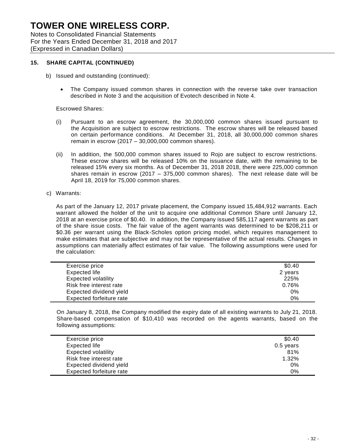Notes to Consolidated Financial Statements For the Years Ended December 31, 2018 and 2017 (Expressed in Canadian Dollars)

### **15. SHARE CAPITAL (CONTINUED)**

- b) Issued and outstanding (continued):
	- The Company issued common shares in connection with the reverse take over transaction described in Note 3 and the acquisition of Evotech described in Note 4.

#### Escrowed Shares:

- (i) Pursuant to an escrow agreement, the 30,000,000 common shares issued pursuant to the Acquisition are subject to escrow restrictions. The escrow shares will be released based on certain performance conditions. At December 31, 2018, all 30,000,000 common shares remain in escrow (2017 – 30,000,000 common shares).
- (ii) In addition, the 500,000 common shares issued to Rojo are subject to escrow restrictions. These escrow shares will be released 10% on the issuance date, with the remaining to be released 15% every six months. As of December 31, 2018 2018, there were 225,000 common shares remain in escrow (2017 – 375,000 common shares). The next release date will be April 18, 2019 for 75,000 common shares.
- c) Warrants:

As part of the January 12, 2017 private placement, the Company issued 15,484,912 warrants. Each warrant allowed the holder of the unit to acquire one additional Common Share until January 12, 2018 at an exercise price of \$0.40. In addition, the Company issued 585,117 agent warrants as part of the share issue costs. The fair value of the agent warrants was determined to be \$208,211 or \$0.36 per warrant using the Black-Scholes option pricing model, which requires management to make estimates that are subjective and may not be representative of the actual results. Changes in assumptions can materially affect estimates of fair value. The following assumptions were used for the calculation:

| Exercise price             | \$0.40  |
|----------------------------|---------|
| Expected life              | 2 years |
| <b>Expected volatility</b> | 225%    |
| Risk free interest rate    | 0.76%   |
| Expected dividend yield    | 0%      |
| Expected forfeiture rate   | 0%      |

On January 8, 2018, the Company modified the expiry date of all existing warrants to July 21, 2018. Share-based compensation of \$10,410 was recorded on the agents warrants, based on the following assumptions:

| Exercise price             | \$0.40    |
|----------------------------|-----------|
| Expected life              | 0.5 years |
| <b>Expected volatility</b> | 81%       |
| Risk free interest rate    | 1.32%     |
| Expected dividend yield    | 0%        |
| Expected forfeiture rate   | 0%        |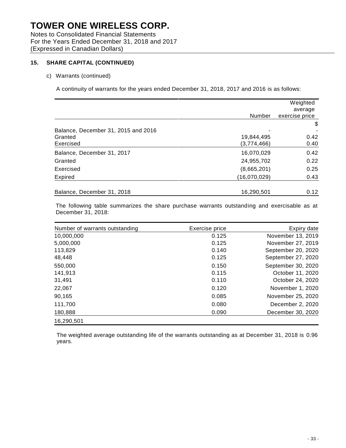Notes to Consolidated Financial Statements For the Years Ended December 31, 2018 and 2017 (Expressed in Canadian Dollars)

### **15. SHARE CAPITAL (CONTINUED)**

#### c) Warrants (continued)

A continuity of warrants for the years ended December 31, 2018, 2017 and 2016 is as follows:

|                                     |               | Weighted       |
|-------------------------------------|---------------|----------------|
|                                     |               | average        |
|                                     | <b>Number</b> | exercise price |
|                                     |               | \$             |
| Balance, December 31, 2015 and 2016 |               |                |
| Granted                             | 19,844,495    | 0.42           |
| Exercised                           | (3,774,466)   | 0.40           |
| Balance, December 31, 2017          | 16,070,029    | 0.42           |
| Granted                             | 24,955,702    | 0.22           |
| Exercised                           | (8,665,201)   | 0.25           |
| Expired                             | (16,070,029)  | 0.43           |
| Balance, December 31, 2018          | 16,290,501    | 0.12           |

The following table summarizes the share purchase warrants outstanding and exercisable as at December 31, 2018:

| Number of warrants outstanding | Exercise price | Expiry date        |
|--------------------------------|----------------|--------------------|
| 10,000,000                     | 0.125          | November 13, 2019  |
| 5,000,000                      | 0.125          | November 27, 2019  |
| 113,829                        | 0.140          | September 20, 2020 |
| 48,448                         | 0.125          | September 27, 2020 |
| 550,000                        | 0.150          | September 30, 2020 |
| 141,913                        | 0.115          | October 11, 2020   |
| 31,491                         | 0.110          | October 24, 2020   |
| 22,067                         | 0.120          | November 1, 2020   |
| 90,165                         | 0.085          | November 25, 2020  |
| 111,700                        | 0.080          | December 2, 2020   |
| 180,888                        | 0.090          | December 30, 2020  |
| 16,290,501                     |                |                    |

The weighted average outstanding life of the warrants outstanding as at December 31, 2018 is 0.96 years.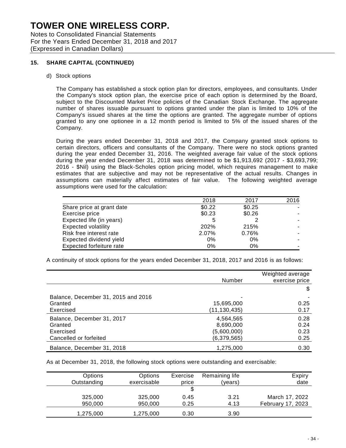Notes to Consolidated Financial Statements For the Years Ended December 31, 2018 and 2017 (Expressed in Canadian Dollars)

### **15. SHARE CAPITAL (CONTINUED)**

d) Stock options

The Company has established a stock option plan for directors, employees, and consultants. Under the Company's stock option plan, the exercise price of each option is determined by the Board, subject to the Discounted Market Price policies of the Canadian Stock Exchange. The aggregate number of shares issuable pursuant to options granted under the plan is limited to 10% of the Company's issued shares at the time the options are granted. The aggregate number of options granted to any one optionee in a 12 month period is limited to 5% of the issued shares of the Company.

During the years ended December 31, 2018 and 2017, the Company granted stock options to certain directors, officers and consultants of the Company. There were no stock options granted during the year ended December 31, 2016. The weighted average fair value of the stock options during the year ended December 31, 2018 was determined to be \$1,913,692 (2017 - \$3,693,799; 2016 - \$Nil) using the Black-Scholes option pricing model, which requires management to make estimates that are subjective and may not be representative of the actual results. Changes in assumptions can materially affect estimates of fair value. The following weighted average assumptions were used for the calculation:

|                                 | 2018   | 2017   | 2016 |
|---------------------------------|--------|--------|------|
| Share price at grant date       | \$0.22 | \$0.25 |      |
| Exercise price                  | \$0.23 | \$0.26 |      |
| Expected life (in years)        | 5      |        |      |
| <b>Expected volatility</b>      | 202%   | 215%   |      |
| Risk free interest rate         | 2.07%  | 0.76%  |      |
| Expected dividend yield         | 0%     | $0\%$  |      |
| <b>Expected forfeiture rate</b> | 0%     | $0\%$  |      |

A continuity of stock options for the years ended December 31, 2018, 2017 and 2016 is as follows:

|                                     | Number       | Weighted average<br>exercise price |
|-------------------------------------|--------------|------------------------------------|
|                                     |              | \$                                 |
| Balance, December 31, 2015 and 2016 |              |                                    |
| Granted                             | 15,695,000   | 0.25                               |
| Exercised                           | (11,130,435) | 0.17                               |
| Balance, December 31, 2017          | 4,564,565    | 0.28                               |
| Granted                             | 8,690,000    | 0.24                               |
| Exercised                           | (5,600,000)  | 0.23                               |
| Cancelled or forfeited              | (6,379,565)  | 0.25                               |
| Balance, December 31, 2018          | 1,275,000    | 0.30                               |

As at December 31, 2018, the following stock options were outstanding and exercisable:

| Options     | Options     | Exercise | Remaining life | Expiry            |
|-------------|-------------|----------|----------------|-------------------|
| Outstanding | exercisable | price    | (vears)        | date              |
|             |             |          |                |                   |
| 325,000     | 325,000     | 0.45     | 3.21           | March 17, 2022    |
| 950,000     | 950,000     | 0.25     | 4.13           | February 17, 2023 |
| 1,275,000   | 1,275,000   | 0.30     | 3.90           |                   |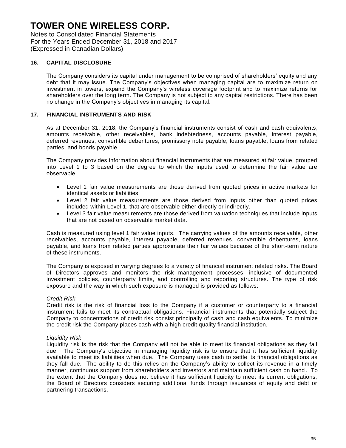Notes to Consolidated Financial Statements For the Years Ended December 31, 2018 and 2017 (Expressed in Canadian Dollars)

### **16. CAPITAL DISCLOSURE**

The Company considers its capital under management to be comprised of shareholders' equity and any debt that it may issue. The Company's objectives when managing capital are to maximize return on investment in towers, expand the Company's wireless coverage footprint and to maximize returns for shareholders over the long term. The Company is not subject to any capital restrictions. There has been no change in the Company's objectives in managing its capital.

#### **17. FINANCIAL INSTRUMENTS AND RISK**

As at December 31, 2018, the Company's financial instruments consist of cash and cash equivalents, amounts receivable, other receivables, bank indebtedness, accounts payable, interest payable, deferred revenues, convertible debentures, promissory note payable, loans payable, loans from related parties, and bonds payable.

The Company provides information about financial instruments that are measured at fair value, grouped into Level 1 to 3 based on the degree to which the inputs used to determine the fair value are observable.

- Level 1 fair value measurements are those derived from quoted prices in active markets for identical assets or liabilities.
- Level 2 fair value measurements are those derived from inputs other than quoted prices included within Level 1, that are observable either directly or indirectly.
- Level 3 fair value measurements are those derived from valuation techniques that include inputs that are not based on observable market data.

Cash is measured using level 1 fair value inputs. The carrying values of the amounts receivable, other receivables, accounts payable, interest payable, deferred revenues, convertible debentures, loans payable, and loans from related parties approximate their fair values because of the short-term nature of these instruments.

The Company is exposed in varying degrees to a variety of financial instrument related risks. The Board of Directors approves and monitors the risk management processes, inclusive of documented investment policies, counterparty limits, and controlling and reporting structures. The type of risk exposure and the way in which such exposure is managed is provided as follows:

#### *Credit Risk*

Credit risk is the risk of financial loss to the Company if a customer or counterparty to a financial instrument fails to meet its contractual obligations. Financial instruments that potentially subject the Company to concentrations of credit risk consist principally of cash and cash equivalents. To minimize the credit risk the Company places cash with a high credit quality financial institution.

#### *Liquidity Risk*

Liquidity risk is the risk that the Company will not be able to meet its financial obligations as they fall due. The Company's objective in managing liquidity risk is to ensure that it has sufficient liquidity available to meet its liabilities when due. The Company uses cash to settle its financial obligations as they fall due. The ability to do this relies on the Company's ability to collect its revenue in a timely manner, continuous support from shareholders and investors and maintain sufficient cash on hand . To the extent that the Company does not believe it has sufficient liquidity to meet its current obligations, the Board of Directors considers securing additional funds through issuances of equity and debt or partnering transactions.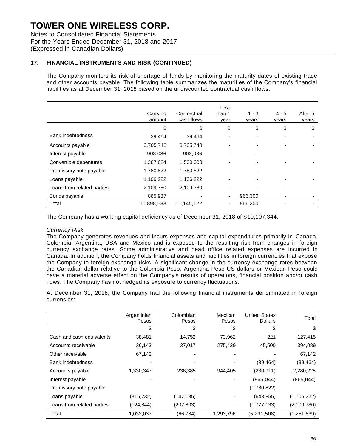Notes to Consolidated Financial Statements For the Years Ended December 31, 2018 and 2017 (Expressed in Canadian Dollars)

## **17. FINANCIAL INSTRUMENTS AND RISK (CONTINUED)**

The Company monitors its risk of shortage of funds by monitoring the maturity dates of existing trade and other accounts payable. The following table summarizes the maturities of the Company's financial liabilities as at December 31, 2018 based on the undiscounted contractual cash flows:

|                            | Carrying<br>amount | Contractual<br>cash flows | Less<br>than 1<br>year   | $1 - 3$<br>years | 4 - 5<br>years | After 5<br>years |
|----------------------------|--------------------|---------------------------|--------------------------|------------------|----------------|------------------|
|                            | \$                 | \$                        | \$                       | \$               | \$             | \$               |
| <b>Bank indebtedness</b>   | 39.464             | 39.464                    | ٠                        |                  |                |                  |
| Accounts payable           | 3,705,748          | 3,705,748                 | -                        |                  |                |                  |
| Interest payable           | 903,086            | 903,086                   | ٠                        |                  |                |                  |
| Convertible debentures     | 1,387,624          | 1,500,000                 | ٠                        | ۰                |                |                  |
| Promissory note payable    | 1,780,822          | 1,780,822                 | ٠                        |                  |                |                  |
| Loans payable              | 1,106,222          | 1,106,222                 | ٠                        |                  |                |                  |
| Loans from related parties | 2,109,780          | 2,109,780                 | -                        |                  |                |                  |
| Bonds payable              | 865,937            |                           | ٠                        | 966,300          |                |                  |
| Total                      | 11,898,683         | 11,145,122                | $\overline{\phantom{a}}$ | 966,300          |                |                  |

The Company has a working capital deficiency as of December 31, 2018 of \$10,107,344.

### *Currency Risk*

The Company generates revenues and incurs expenses and capital expenditures primarily in Canada, Colombia, Argentina, USA and Mexico and is exposed to the resulting risk from changes in foreign currency exchange rates. Some administrative and head office related expenses are incurred in Canada. In addition, the Company holds financial assets and liabilities in foreign currencies that expose the Company to foreign exchange risks. A significant change in the currency exchange rates between the Canadian dollar relative to the Colombia Peso, Argentina Peso US dollars or Mexican Peso could have a material adverse effect on the Company's results of operations, financial position and/or cash flows. The Company has not hedged its exposure to currency fluctuations.

At December 31, 2018, the Company had the following financial instruments denominated in foreign currencies:

|                            | Argentinian<br>Pesos | Colombian<br>Pesos | Mexican<br>Pesos | <b>United States</b><br><b>Dollars</b> | Total         |
|----------------------------|----------------------|--------------------|------------------|----------------------------------------|---------------|
|                            | \$                   | \$                 | \$               | \$                                     | S             |
| Cash and cash equivalents  | 38,481               | 14,752             | 73.962           | 221                                    | 127,415       |
| Accounts receivable        | 36,143               | 37,017             | 275,429          | 45,500                                 | 394,089       |
| Other receivable           | 67,142               |                    |                  |                                        | 67,142        |
| Bank indebtedness          |                      |                    |                  | (39, 464)                              | (39, 464)     |
| Accounts payable           | 1,330,347            | 236,385            | 944.405          | (230, 911)                             | 2,280,225     |
| Interest payable           |                      |                    |                  | (865, 044)                             | (865, 044)    |
| Promissory note payable    |                      |                    |                  | (1,780,822)                            |               |
| Loans payable              | (315,232)            | (147, 135)         |                  | (643, 855)                             | (1, 106, 222) |
| Loans from related parties | (124, 844)           | (207, 803)         | -                | (1,777,133)                            | (2,109,780)   |
| Total                      | 1,032,037            | (66, 784)          | 1,293,796        | (5, 291, 508)                          | (1,251,639)   |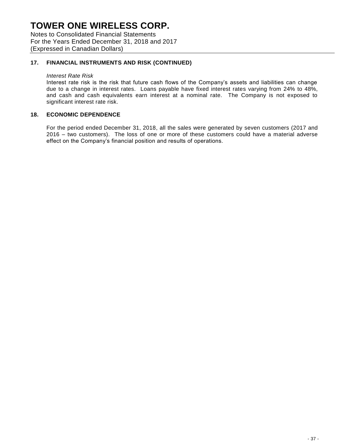Notes to Consolidated Financial Statements For the Years Ended December 31, 2018 and 2017 (Expressed in Canadian Dollars)

## **17. FINANCIAL INSTRUMENTS AND RISK (CONTINUED)**

#### *Interest Rate Risk*

Interest rate risk is the risk that future cash flows of the Company's assets and liabilities can change due to a change in interest rates. Loans payable have fixed interest rates varying from 24% to 48%, and cash and cash equivalents earn interest at a nominal rate. The Company is not exposed to significant interest rate risk.

#### **18. ECONOMIC DEPENDENCE**

For the period ended December 31, 2018, all the sales were generated by seven customers (2017 and 2016 – two customers). The loss of one or more of these customers could have a material adverse effect on the Company's financial position and results of operations.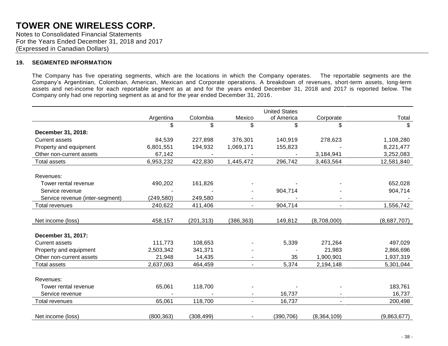Notes to Consolidated Financial Statements For the Years Ended December 31, 2018 and 2017 (Expressed in Canadian Dollars)

#### **19. SEGMENTED INFORMATION**

The Company has five operating segments, which are the locations in which the Company operates. The reportable segments are the Company's Argentinian, Colombian, American, Mexican and Corporate operations. A breakdown of revenues, short-term assets, long-term assets and net-income for each reportable segment as at and for the years ended December 31, 2018 and 2017 is reported below. The Company only had one reporting segment as at and for the year ended December 31, 2016.

|                                 |            |            |                | <b>United States</b> |                |             |
|---------------------------------|------------|------------|----------------|----------------------|----------------|-------------|
|                                 | Argentina  | Colombia   | Mexico         | of America           | Corporate      | Total       |
|                                 | \$         | \$         | \$             | \$                   | \$             | \$          |
| December 31, 2018:              |            |            |                |                      |                |             |
| <b>Current assets</b>           | 84,539     | 227,898    | 376,301        | 140,919              | 278,623        | 1,108,280   |
| Property and equipment          | 6,801,551  | 194,932    | 1,069,171      | 155,823              |                | 8,221,477   |
| Other non-current assets        | 67,142     |            |                |                      | 3,184,941      | 3,252,083   |
| Total assets                    | 6,953,232  | 422,830    | 1,445,472      | 296,742              | 3,463,564      | 12,581,840  |
|                                 |            |            |                |                      |                |             |
| Revenues:                       |            |            |                |                      |                |             |
| Tower rental revenue            | 490,202    | 161,826    |                |                      |                | 652,028     |
| Service revenue                 |            |            |                | 904,714              |                | 904,714     |
| Service revenue (inter-segment) | (249, 580) | 249,580    |                |                      |                |             |
| Total revenues                  | 240,622    | 411,406    |                | 904,714              |                | 1,556,742   |
|                                 |            |            |                |                      |                |             |
| Net income (loss)               | 458,157    | (201, 313) | (386, 363)     | 149,812              | (8,708,000)    | (8,687,707) |
|                                 |            |            |                |                      |                |             |
| December 31, 2017:              |            |            |                |                      |                |             |
| <b>Current assets</b>           | 111,773    | 108,653    |                | 5,339                | 271,264        | 497,029     |
| Property and equipment          | 2,503,342  | 341,371    |                |                      | 21,983         | 2,866,696   |
| Other non-current assets        | 21,948     | 14,435     |                | 35                   | 1,900,901      | 1,937,319   |
| <b>Total assets</b>             | 2,637,063  | 464,459    | $\sim$         | 5,374                | 2,194,148      | 5,301,044   |
|                                 |            |            |                |                      |                |             |
| Revenues:                       |            |            |                |                      |                |             |
| Tower rental revenue            | 65,061     | 118,700    |                |                      |                | 183,761     |
| Service revenue                 |            |            |                | 16,737               |                | 16,737      |
| Total revenues                  | 65,061     | 118,700    | $\sim$         | 16,737               | $\blacksquare$ | 200,498     |
|                                 |            |            |                |                      |                |             |
| Net income (loss)               | (800, 363) | (308, 499) | $\blacksquare$ | (390, 706)           | (8,364,109)    | (9,863,677) |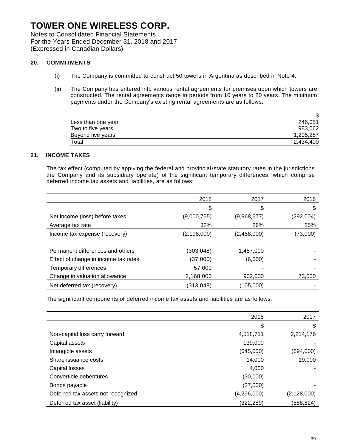Notes to Consolidated Financial Statements For the Years Ended December 31, 2018 and 2017 (Expressed in Canadian Dollars)

### **20. COMMITMENTS**

- (i) The Company is committed to construct 50 towers in Argentina as described in Note 4.
- (ii) The Company has entered into various rental agreements for premises upon which towers are constructed. The rental agreements range in periods from 10 years to 20 years. The minimum payments under the Company's existing rental agreements are as follows:

| Less than one year | 246.051   |
|--------------------|-----------|
| Two to five years  | 983.062   |
| Beyond five years  | 1,205,287 |
| Total              | 2,434,400 |

### **21. INCOME TAXES**

The tax effect (computed by applying the federal and provincial/state statutory rates in the jurisdictions the Company and its subsidiary operate) of the significant temporary differences, which comprise deferred income tax assets and liabilities, are as follows:

|                                      | 2018          | 2017        | 2016      |
|--------------------------------------|---------------|-------------|-----------|
|                                      | \$            | \$          | \$        |
| Net income (loss) before taxes       | (9,000,755)   | (9,968,677) | (292,004) |
| Average tax rate                     | 32%           | 26%         | 25%       |
| Income tax expense (recovery)        | (2, 198, 000) | (2,458,000) | (73,000)  |
|                                      |               |             |           |
| Permanent differences and others     | (303,048)     | 1,457,000   |           |
| Effect of change in income tax rates | (37,000)      | (6,000)     |           |
| Temporary differences                | 57,000        |             |           |
| Change in valuation allowance        | 2,168,000     | 902,000     | 73,000    |
| Net deferred tax (recovery)          | (313, 048)    | (105,000)   |           |

The significant components of deferred income tax assets and liabilities are as follows:

|                                    | 2018          | 2017          |
|------------------------------------|---------------|---------------|
|                                    | \$            | \$            |
| Non-capital loss carry forward     | 4,518,711     | 2,214,176     |
| Capital assets                     | 139,000       |               |
| Intangible assets                  | (645,000)     | (694,000)     |
| Share issuance costs               | 14,000        | 19,000        |
| Capital losses                     | 4,000         |               |
| Convertible debentures             | (30,000)      |               |
| Bonds payable                      | (27,000)      |               |
| Deferred tax assets not recognized | (4, 296, 000) | (2, 128, 000) |
| Deferred tax asset (liability)     | (322,289)     | (588,824)     |